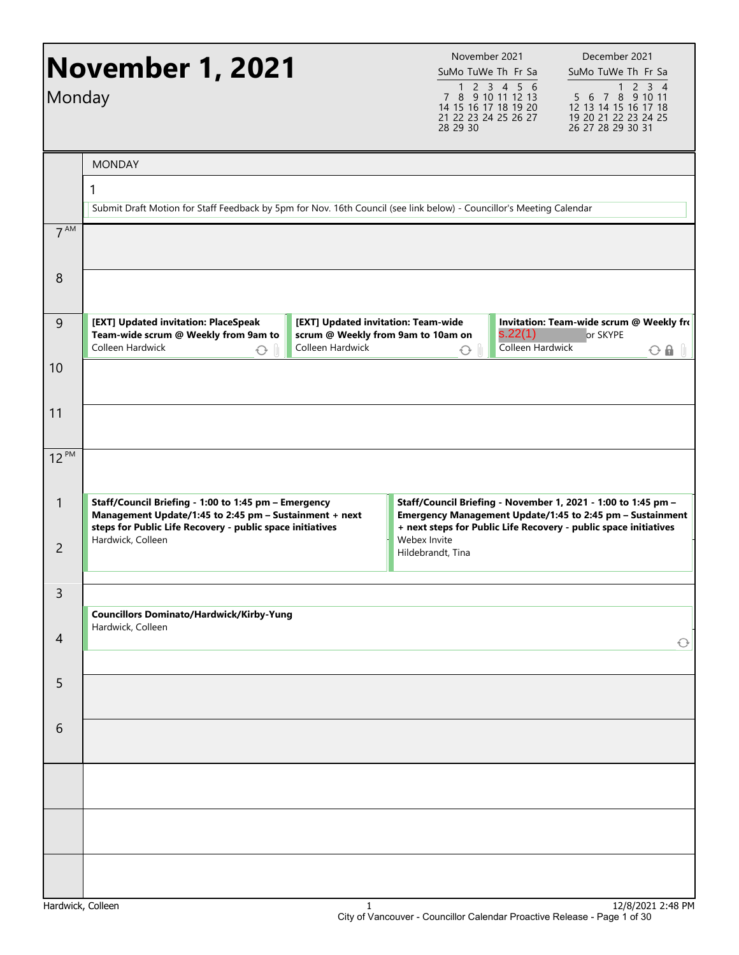| Monday          | <b>November 1, 2021</b>                                                                                                                                                     |                                                                                               | November 2021<br>SuMo TuWe Th Fr Sa<br>7 8 9 10 11 12 13<br>14 15 16 17 18 19 20<br>21 22 23 24 25 26 27<br>28 29 30 | 1 2 3 4 5 6                 | December 2021<br>SuMo TuWe Th Fr Sa<br>1 2 3 4<br>5 6 7 8 9 10 11<br>12 13 14 15 16 17 18<br>19 20 21 22 23 24 25<br>26 27 28 29 30 31                                                         |
|-----------------|-----------------------------------------------------------------------------------------------------------------------------------------------------------------------------|-----------------------------------------------------------------------------------------------|----------------------------------------------------------------------------------------------------------------------|-----------------------------|------------------------------------------------------------------------------------------------------------------------------------------------------------------------------------------------|
|                 | <b>MONDAY</b>                                                                                                                                                               |                                                                                               |                                                                                                                      |                             |                                                                                                                                                                                                |
|                 | 1                                                                                                                                                                           |                                                                                               |                                                                                                                      |                             |                                                                                                                                                                                                |
|                 | Submit Draft Motion for Staff Feedback by 5pm for Nov. 16th Council (see link below) - Councillor's Meeting Calendar                                                        |                                                                                               |                                                                                                                      |                             |                                                                                                                                                                                                |
| 7 <sup>AM</sup> |                                                                                                                                                                             |                                                                                               |                                                                                                                      |                             |                                                                                                                                                                                                |
| 8               |                                                                                                                                                                             |                                                                                               |                                                                                                                      |                             |                                                                                                                                                                                                |
| 9               | [EXT] Updated invitation: PlaceSpeak<br>Team-wide scrum @ Weekly from 9am to<br>Colleen Hardwick<br>$\widehat{\mathcal{C}}$                                                 | [EXT] Updated invitation: Team-wide<br>scrum @ Weekly from 9am to 10am on<br>Colleen Hardwick | $\widehat{\mathcal{C}}$                                                                                              | s.22(1)<br>Colleen Hardwick | Invitation: Team-wide scrum @ Weekly fro<br>or SKYPE<br>$\odot$ a                                                                                                                              |
| 10              |                                                                                                                                                                             |                                                                                               |                                                                                                                      |                             |                                                                                                                                                                                                |
| 11              |                                                                                                                                                                             |                                                                                               |                                                                                                                      |                             |                                                                                                                                                                                                |
| $12^{PM}$       |                                                                                                                                                                             |                                                                                               |                                                                                                                      |                             |                                                                                                                                                                                                |
| $\mathbf{1}$    | Staff/Council Briefing - 1:00 to 1:45 pm - Emergency<br>Management Update/1:45 to 2:45 pm - Sustainment + next<br>steps for Public Life Recovery - public space initiatives |                                                                                               |                                                                                                                      |                             | Staff/Council Briefing - November 1, 2021 - 1:00 to 1:45 pm -<br>Emergency Management Update/1:45 to 2:45 pm - Sustainment<br>+ next steps for Public Life Recovery - public space initiatives |
| $\overline{2}$  | Hardwick, Colleen                                                                                                                                                           |                                                                                               | Webex Invite<br>Hildebrandt, Tina                                                                                    |                             |                                                                                                                                                                                                |
| $\mathsf{3}$    |                                                                                                                                                                             |                                                                                               |                                                                                                                      |                             |                                                                                                                                                                                                |
|                 | <b>Councillors Dominato/Hardwick/Kirby-Yung</b><br>Hardwick, Colleen                                                                                                        |                                                                                               |                                                                                                                      |                             |                                                                                                                                                                                                |
| $\overline{4}$  |                                                                                                                                                                             |                                                                                               |                                                                                                                      |                             | ♦                                                                                                                                                                                              |
| 5               |                                                                                                                                                                             |                                                                                               |                                                                                                                      |                             |                                                                                                                                                                                                |
| 6               |                                                                                                                                                                             |                                                                                               |                                                                                                                      |                             |                                                                                                                                                                                                |
|                 |                                                                                                                                                                             |                                                                                               |                                                                                                                      |                             |                                                                                                                                                                                                |
|                 |                                                                                                                                                                             |                                                                                               |                                                                                                                      |                             |                                                                                                                                                                                                |
|                 |                                                                                                                                                                             |                                                                                               |                                                                                                                      |                             |                                                                                                                                                                                                |
|                 |                                                                                                                                                                             |                                                                                               |                                                                                                                      |                             |                                                                                                                                                                                                |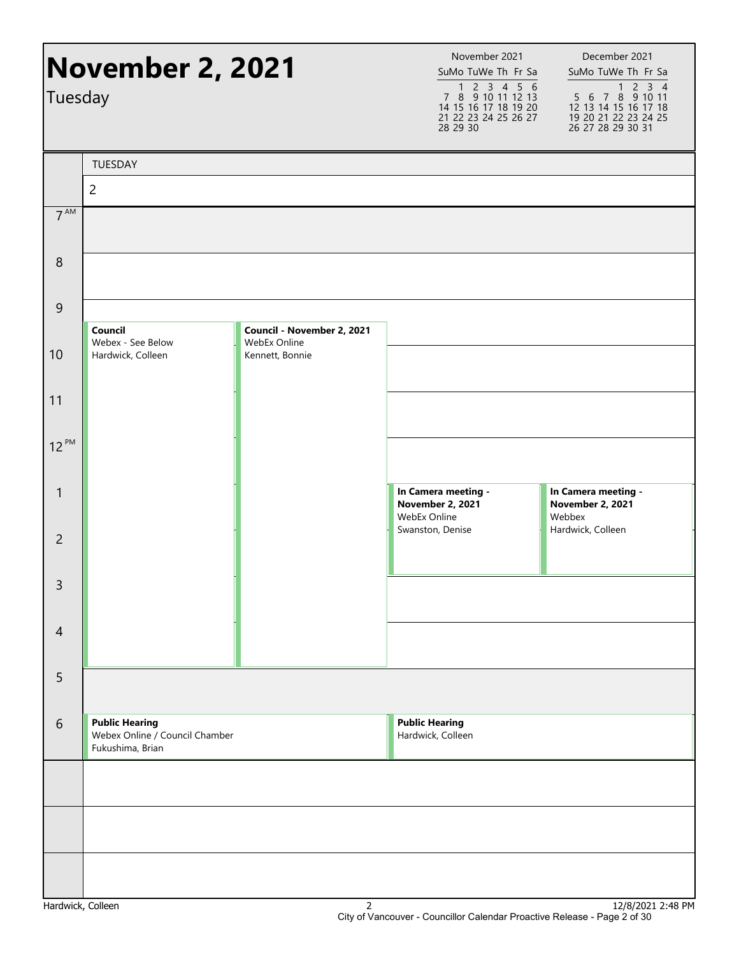| Tuesday         | <b>November 2, 2021</b>                                                     |                                 | November 2021<br>SuMo TuWe Th Fr Sa<br>7 8 9 10 11 12 13<br>14 15 16 17 18 19 20<br>21 22 23 24 25 26 27 | December 2021<br>SuMo TuWe Th Fr Sa<br>$\begin{array}{ccccccccc}\n & & & & & 1 & 2 & 3 & 4 \\ 5 & 6 & 7 & 8 & 9 & 10 & 11\n\end{array}$<br>12 13 14 15 16 17 18<br>19 20 21 22 23 24 25 |
|-----------------|-----------------------------------------------------------------------------|---------------------------------|----------------------------------------------------------------------------------------------------------|-----------------------------------------------------------------------------------------------------------------------------------------------------------------------------------------|
|                 |                                                                             |                                 | 28 29 30                                                                                                 | 26 27 28 29 30 31                                                                                                                                                                       |
|                 | TUESDAY                                                                     |                                 |                                                                                                          |                                                                                                                                                                                         |
|                 | $\overline{c}$                                                              |                                 |                                                                                                          |                                                                                                                                                                                         |
| 7 <sup>AM</sup> |                                                                             |                                 |                                                                                                          |                                                                                                                                                                                         |
| $8\phantom{1}$  |                                                                             |                                 |                                                                                                          |                                                                                                                                                                                         |
| $\overline{9}$  |                                                                             |                                 |                                                                                                          |                                                                                                                                                                                         |
|                 | Council                                                                     | Council - November 2, 2021      |                                                                                                          |                                                                                                                                                                                         |
| 10              | Webex - See Below<br>Hardwick, Colleen                                      | WebEx Online<br>Kennett, Bonnie |                                                                                                          |                                                                                                                                                                                         |
| 11              |                                                                             |                                 |                                                                                                          |                                                                                                                                                                                         |
|                 |                                                                             |                                 |                                                                                                          |                                                                                                                                                                                         |
| $12^{PM}$       |                                                                             |                                 |                                                                                                          |                                                                                                                                                                                         |
| $\mathbf{1}$    |                                                                             |                                 | In Camera meeting -<br><b>November 2, 2021</b><br>WebEx Online                                           | In Camera meeting -<br>November 2, 2021<br>Webbex                                                                                                                                       |
| $\overline{2}$  |                                                                             |                                 | Swanston, Denise                                                                                         | Hardwick, Colleen                                                                                                                                                                       |
| 3               |                                                                             |                                 |                                                                                                          |                                                                                                                                                                                         |
| $\overline{4}$  |                                                                             |                                 |                                                                                                          |                                                                                                                                                                                         |
| 5               |                                                                             |                                 |                                                                                                          |                                                                                                                                                                                         |
| 6               | <b>Public Hearing</b><br>Webex Online / Council Chamber<br>Fukushima, Brian |                                 | <b>Public Hearing</b><br>Hardwick, Colleen                                                               |                                                                                                                                                                                         |
|                 |                                                                             |                                 |                                                                                                          |                                                                                                                                                                                         |
|                 |                                                                             |                                 |                                                                                                          |                                                                                                                                                                                         |
|                 |                                                                             |                                 |                                                                                                          |                                                                                                                                                                                         |
|                 |                                                                             |                                 |                                                                                                          | $\frac{1}{2}$                                                                                                                                                                           |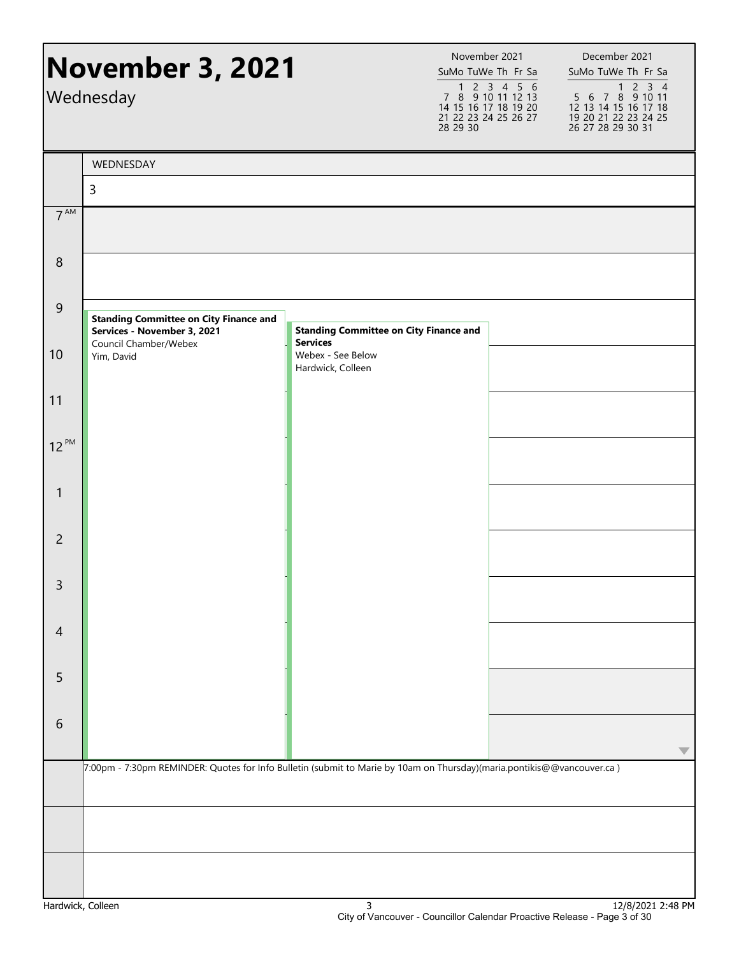|                 | <b>November 3, 2021</b><br>Wednesday                                                                                   |                                                                  | November 2021<br>SuMo TuWe Th Fr Sa<br>1 2 3 4 5 6<br>7 8 9 10 11 12 13<br>14 15 16 17 18 19 20<br>21 22 23 24 25 26 27<br>28 29 30 | December 2021<br>SuMo TuWe Th Fr Sa<br>$\begin{array}{@{}c@{\hspace{1em}}c@{\hspace{1em}}c@{\hspace{1em}}c@{\hspace{1em}}c@{\hspace{1em}}c@{\hspace{1em}}c@{\hspace{1em}}c@{\hspace{1em}}c@{\hspace{1em}}c@{\hspace{1em}}c@{\hspace{1em}}c@{\hspace{1em}}c@{\hspace{1em}}c@{\hspace{1em}}c@{\hspace{1em}}c@{\hspace{1em}}c@{\hspace{1em}}c@{\hspace{1em}}c@{\hspace{1em}}c@{\hspace{1em}}c@{\hspace{1em}}c@{\hspace{1em}}c@{\hspace{1em}}c@{\hspace{$<br>12 13 14 15 16 17 18<br>19 20 21 22 23 24 25<br>26 27 28 29 30 31 |
|-----------------|------------------------------------------------------------------------------------------------------------------------|------------------------------------------------------------------|-------------------------------------------------------------------------------------------------------------------------------------|----------------------------------------------------------------------------------------------------------------------------------------------------------------------------------------------------------------------------------------------------------------------------------------------------------------------------------------------------------------------------------------------------------------------------------------------------------------------------------------------------------------------------|
|                 | WEDNESDAY                                                                                                              |                                                                  |                                                                                                                                     |                                                                                                                                                                                                                                                                                                                                                                                                                                                                                                                            |
|                 | 3                                                                                                                      |                                                                  |                                                                                                                                     |                                                                                                                                                                                                                                                                                                                                                                                                                                                                                                                            |
| 7 <sup>AM</sup> |                                                                                                                        |                                                                  |                                                                                                                                     |                                                                                                                                                                                                                                                                                                                                                                                                                                                                                                                            |
| 8               |                                                                                                                        |                                                                  |                                                                                                                                     |                                                                                                                                                                                                                                                                                                                                                                                                                                                                                                                            |
| 9               | <b>Standing Committee on City Finance and</b><br>Services - November 3, 2021<br>Council Chamber/Webex                  | <b>Standing Committee on City Finance and</b><br><b>Services</b> |                                                                                                                                     |                                                                                                                                                                                                                                                                                                                                                                                                                                                                                                                            |
| 10              | Yim, David                                                                                                             | Webex - See Below<br>Hardwick, Colleen                           |                                                                                                                                     |                                                                                                                                                                                                                                                                                                                                                                                                                                                                                                                            |
| 11              |                                                                                                                        |                                                                  |                                                                                                                                     |                                                                                                                                                                                                                                                                                                                                                                                                                                                                                                                            |
| $12^{PM}$       |                                                                                                                        |                                                                  |                                                                                                                                     |                                                                                                                                                                                                                                                                                                                                                                                                                                                                                                                            |
| $\mathbf{1}$    |                                                                                                                        |                                                                  |                                                                                                                                     |                                                                                                                                                                                                                                                                                                                                                                                                                                                                                                                            |
| $\overline{2}$  |                                                                                                                        |                                                                  |                                                                                                                                     |                                                                                                                                                                                                                                                                                                                                                                                                                                                                                                                            |
| 3               |                                                                                                                        |                                                                  |                                                                                                                                     |                                                                                                                                                                                                                                                                                                                                                                                                                                                                                                                            |
| $\overline{4}$  |                                                                                                                        |                                                                  |                                                                                                                                     |                                                                                                                                                                                                                                                                                                                                                                                                                                                                                                                            |
| 5               |                                                                                                                        |                                                                  |                                                                                                                                     |                                                                                                                                                                                                                                                                                                                                                                                                                                                                                                                            |
| 6               |                                                                                                                        |                                                                  |                                                                                                                                     |                                                                                                                                                                                                                                                                                                                                                                                                                                                                                                                            |
|                 | 7:00pm - 7:30pm REMINDER: Quotes for Info Bulletin (submit to Marie by 10am on Thursday)(maria.pontikis@@vancouver.ca) |                                                                  |                                                                                                                                     |                                                                                                                                                                                                                                                                                                                                                                                                                                                                                                                            |
|                 |                                                                                                                        |                                                                  |                                                                                                                                     |                                                                                                                                                                                                                                                                                                                                                                                                                                                                                                                            |
|                 |                                                                                                                        |                                                                  |                                                                                                                                     |                                                                                                                                                                                                                                                                                                                                                                                                                                                                                                                            |
|                 |                                                                                                                        |                                                                  |                                                                                                                                     | 12022121                                                                                                                                                                                                                                                                                                                                                                                                                                                                                                                   |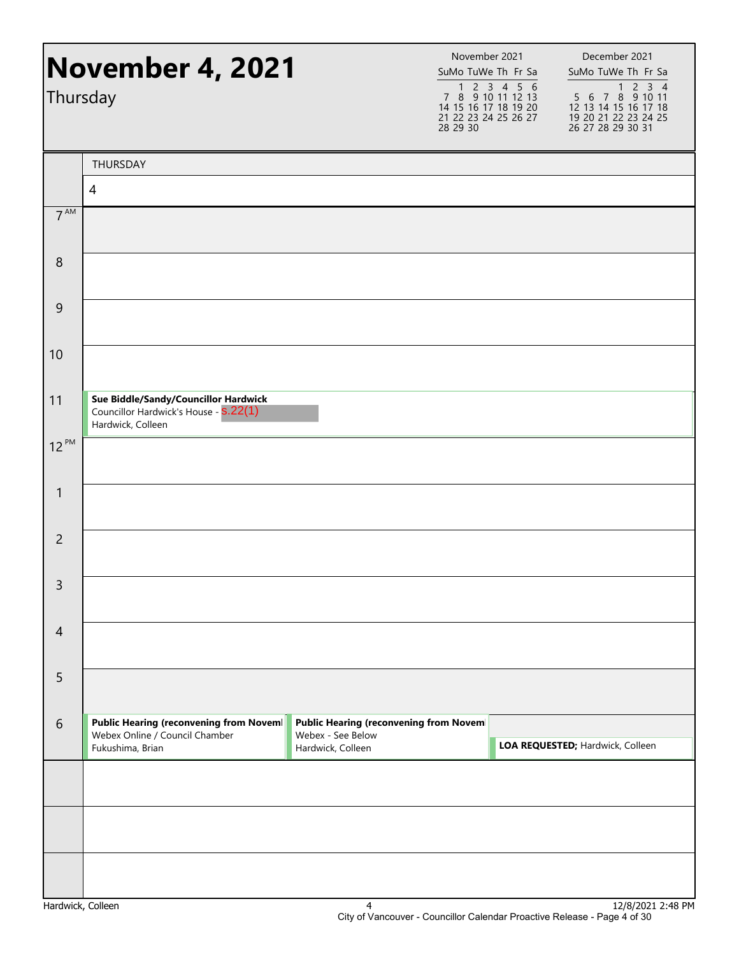|                   | <b>November 4, 2021</b><br>Thursday                                                                 |                                                                                         | November 2021<br>SuMo TuWe Th Fr Sa<br>1 2 3 4 5 6<br>7 8 9 10 11 12 13<br>14 15 16 17 18 19 20<br>21 22 23 24 25 26 27<br>28 29 30 | December 2021<br>SuMo TuWe Th Fr Sa<br>1 2 3 4<br>5 6 7 8 9 10 11<br>12 13 14 15 16 17 18<br>19 20 21 22 23 24 25<br>26 27 28 29 30 31 |
|-------------------|-----------------------------------------------------------------------------------------------------|-----------------------------------------------------------------------------------------|-------------------------------------------------------------------------------------------------------------------------------------|----------------------------------------------------------------------------------------------------------------------------------------|
|                   | THURSDAY                                                                                            |                                                                                         |                                                                                                                                     |                                                                                                                                        |
|                   | 4                                                                                                   |                                                                                         |                                                                                                                                     |                                                                                                                                        |
| 7 <sup>AM</sup>   |                                                                                                     |                                                                                         |                                                                                                                                     |                                                                                                                                        |
| 8                 |                                                                                                     |                                                                                         |                                                                                                                                     |                                                                                                                                        |
| 9                 |                                                                                                     |                                                                                         |                                                                                                                                     |                                                                                                                                        |
| 10                |                                                                                                     |                                                                                         |                                                                                                                                     |                                                                                                                                        |
| 11                | Sue Biddle/Sandy/Councillor Hardwick<br>Councillor Hardwick's House - S.22(1)<br>Hardwick, Colleen  |                                                                                         |                                                                                                                                     |                                                                                                                                        |
| $12^{PM}$         |                                                                                                     |                                                                                         |                                                                                                                                     |                                                                                                                                        |
| $\mathbf{1}$      |                                                                                                     |                                                                                         |                                                                                                                                     |                                                                                                                                        |
| $\overline{c}$    |                                                                                                     |                                                                                         |                                                                                                                                     |                                                                                                                                        |
| 3                 |                                                                                                     |                                                                                         |                                                                                                                                     |                                                                                                                                        |
| $\overline{4}$    |                                                                                                     |                                                                                         |                                                                                                                                     |                                                                                                                                        |
| 5                 |                                                                                                     |                                                                                         |                                                                                                                                     |                                                                                                                                        |
| 6                 | <b>Public Hearing (reconvening from Novem</b><br>Webex Online / Council Chamber<br>Fukushima, Brian | <b>Public Hearing (reconvening from Novem</b><br>Webex - See Below<br>Hardwick, Colleen |                                                                                                                                     | LOA REQUESTED; Hardwick, Colleen                                                                                                       |
|                   |                                                                                                     |                                                                                         |                                                                                                                                     |                                                                                                                                        |
|                   |                                                                                                     |                                                                                         |                                                                                                                                     |                                                                                                                                        |
|                   |                                                                                                     |                                                                                         |                                                                                                                                     |                                                                                                                                        |
| Hardwick, Colleen |                                                                                                     | $\overline{4}$                                                                          |                                                                                                                                     | 12/8/2021 2:48 PM                                                                                                                      |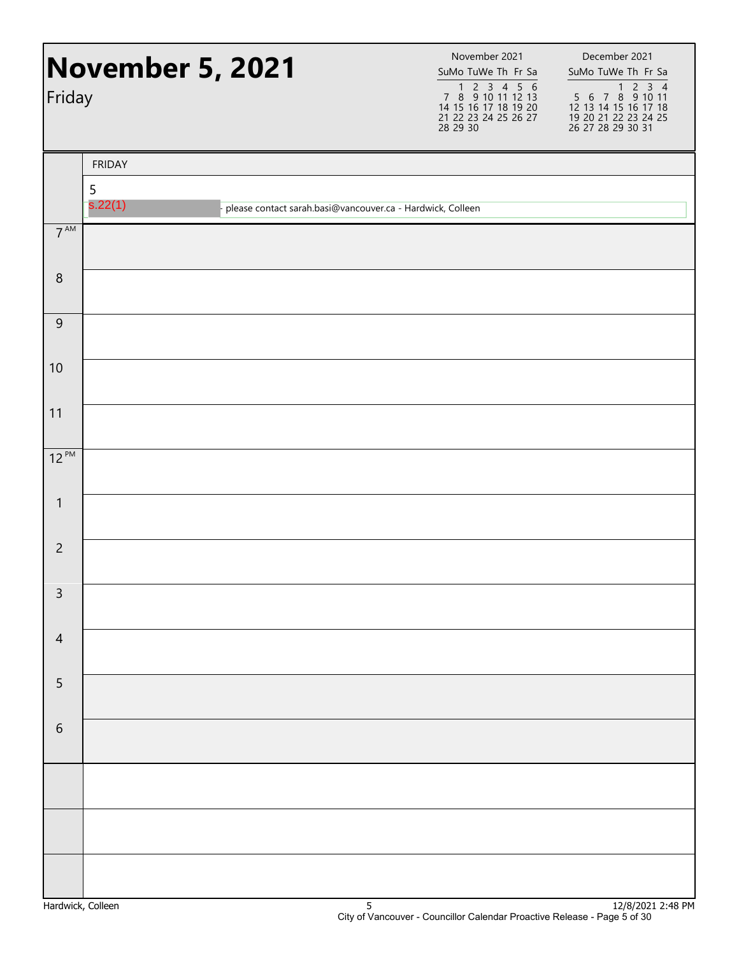| Friday          | November 5, 2021 |                                                            | November 2021<br>SuMo TuWe Th Fr Sa<br>7 8 9 10 11 12 13<br>14 15 16 17 18 19 20<br>21 22 23 24 25 26 27<br>28 29 30 | December 2021<br>SuMo TuWe Th Fr Sa<br>$5\ 6\ 7\ 8\ 9\ 10\ 11$<br>12 13 14 15 16 17 18<br>19 20 21 22 23 24 25<br>26 27 28 29 30 31 |
|-----------------|------------------|------------------------------------------------------------|----------------------------------------------------------------------------------------------------------------------|-------------------------------------------------------------------------------------------------------------------------------------|
|                 | <b>FRIDAY</b>    |                                                            |                                                                                                                      |                                                                                                                                     |
|                 | 5                |                                                            |                                                                                                                      |                                                                                                                                     |
|                 | s.22(1)          | please contact sarah.basi@vancouver.ca - Hardwick, Colleen |                                                                                                                      |                                                                                                                                     |
| 7 <sup>AM</sup> |                  |                                                            |                                                                                                                      |                                                                                                                                     |
| 8               |                  |                                                            |                                                                                                                      |                                                                                                                                     |
| 9               |                  |                                                            |                                                                                                                      |                                                                                                                                     |
| 10              |                  |                                                            |                                                                                                                      |                                                                                                                                     |
| 11              |                  |                                                            |                                                                                                                      |                                                                                                                                     |
| $12^{PM}$       |                  |                                                            |                                                                                                                      |                                                                                                                                     |
| $\mathbf{1}$    |                  |                                                            |                                                                                                                      |                                                                                                                                     |
| $\overline{2}$  |                  |                                                            |                                                                                                                      |                                                                                                                                     |
| 3               |                  |                                                            |                                                                                                                      |                                                                                                                                     |
| $\overline{4}$  |                  |                                                            |                                                                                                                      |                                                                                                                                     |
| 5               |                  |                                                            |                                                                                                                      |                                                                                                                                     |
| $\sqrt{6}$      |                  |                                                            |                                                                                                                      |                                                                                                                                     |
|                 |                  |                                                            |                                                                                                                      |                                                                                                                                     |
|                 |                  |                                                            |                                                                                                                      |                                                                                                                                     |
|                 |                  |                                                            |                                                                                                                      |                                                                                                                                     |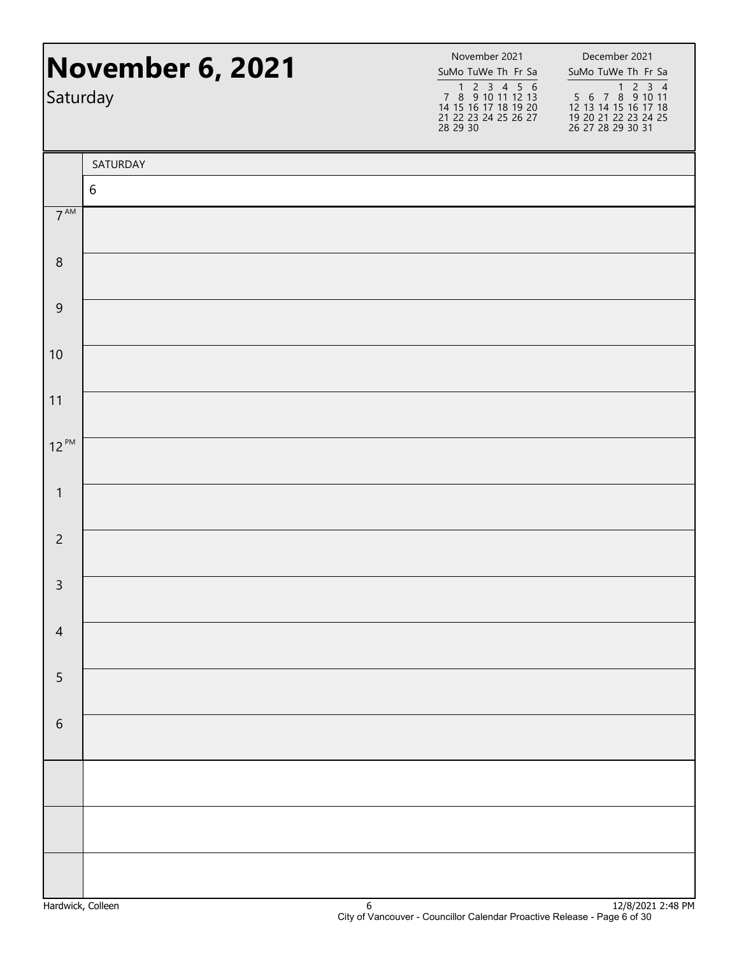| Saturday        | November 6, 2021 | November 2021<br>SuMo TuWe Th Fr Sa<br>1 2 3 4 5 6<br>7 8 9 10 11 12 13<br>14 15 16 17 18 19 20<br>21 22 23 24 25 26 27<br>28 29 30 | December 2021<br>SuMo TuWe Th Fr Sa<br>$\begin{array}{r} \hspace{15pt} 1 \hspace{1.5pt} 2 \hspace{1.5pt} 3 \hspace{1.5pt} 4 \\ 5 \hspace{1.5pt} 6 \hspace{1.5pt} 7 \hspace{1.5pt} 8 \hspace{1.5pt} 9 \hspace{1.5pt} 10 \hspace{1.5pt} 11 \\ 12 \hspace{1.5pt} 13 \hspace{1.5pt} 14 \hspace{1.5pt} 15 \hspace{1.5pt} 16 \hspace{1.5pt} 17 \hspace{1.5pt} 18 \\ 19 \hspace{1.5pt} 20 \hspace{1.5$ |
|-----------------|------------------|-------------------------------------------------------------------------------------------------------------------------------------|-------------------------------------------------------------------------------------------------------------------------------------------------------------------------------------------------------------------------------------------------------------------------------------------------------------------------------------------------------------------------------------------------|
|                 | SATURDAY         |                                                                                                                                     |                                                                                                                                                                                                                                                                                                                                                                                                 |
|                 | $6\,$            |                                                                                                                                     |                                                                                                                                                                                                                                                                                                                                                                                                 |
| $7^{\text{AM}}$ |                  |                                                                                                                                     |                                                                                                                                                                                                                                                                                                                                                                                                 |
| $\,8\,$         |                  |                                                                                                                                     |                                                                                                                                                                                                                                                                                                                                                                                                 |
| $\overline{9}$  |                  |                                                                                                                                     |                                                                                                                                                                                                                                                                                                                                                                                                 |
| 10              |                  |                                                                                                                                     |                                                                                                                                                                                                                                                                                                                                                                                                 |
| 11              |                  |                                                                                                                                     |                                                                                                                                                                                                                                                                                                                                                                                                 |
| $12^{PM}$       |                  |                                                                                                                                     |                                                                                                                                                                                                                                                                                                                                                                                                 |
| $\mathbf{1}$    |                  |                                                                                                                                     |                                                                                                                                                                                                                                                                                                                                                                                                 |
| $\overline{2}$  |                  |                                                                                                                                     |                                                                                                                                                                                                                                                                                                                                                                                                 |
| $\overline{3}$  |                  |                                                                                                                                     |                                                                                                                                                                                                                                                                                                                                                                                                 |
| $\overline{4}$  |                  |                                                                                                                                     |                                                                                                                                                                                                                                                                                                                                                                                                 |
| 5               |                  |                                                                                                                                     |                                                                                                                                                                                                                                                                                                                                                                                                 |
| $\,$ 6 $\,$     |                  |                                                                                                                                     |                                                                                                                                                                                                                                                                                                                                                                                                 |
|                 |                  |                                                                                                                                     |                                                                                                                                                                                                                                                                                                                                                                                                 |
|                 |                  |                                                                                                                                     |                                                                                                                                                                                                                                                                                                                                                                                                 |
|                 |                  |                                                                                                                                     |                                                                                                                                                                                                                                                                                                                                                                                                 |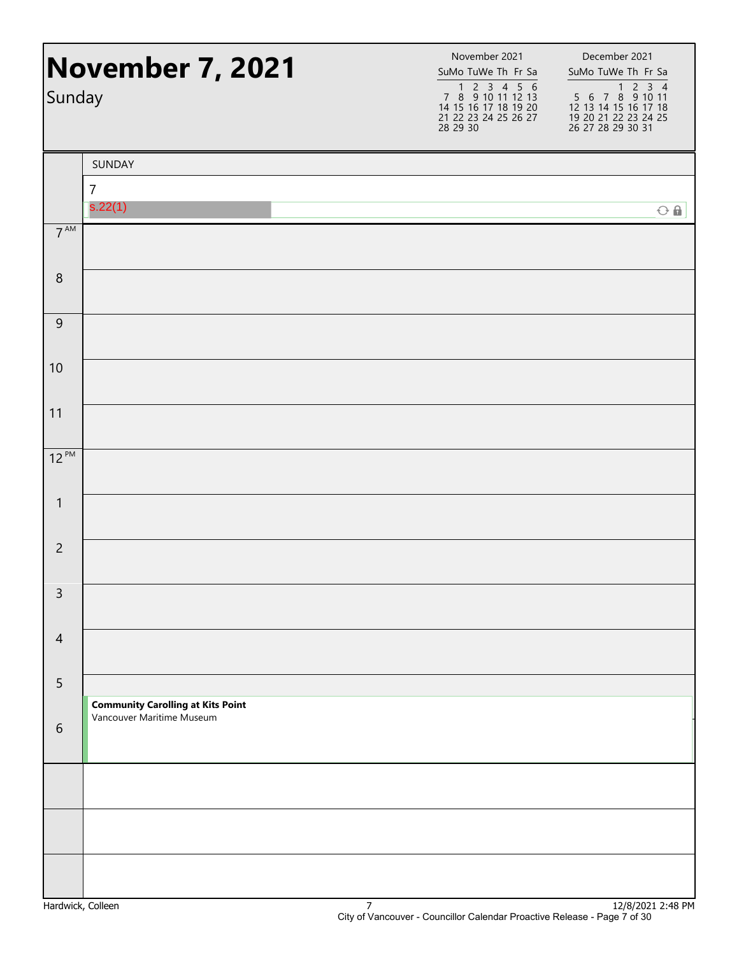| Sunday          | <b>November 7, 2021</b>                  | November 2021<br>SuMo TuWe Th Fr Sa<br>$\begin{array}{@{}c@{\hspace{1em}}c@{\hspace{1em}}c@{\hspace{1em}}c@{\hspace{1em}}c@{\hspace{1em}}c@{\hspace{1em}}c@{\hspace{1em}}c@{\hspace{1em}}c@{\hspace{1em}}c@{\hspace{1em}}c@{\hspace{1em}}c@{\hspace{1em}}c@{\hspace{1em}}c@{\hspace{1em}}c@{\hspace{1em}}c@{\hspace{1em}}c@{\hspace{1em}}c@{\hspace{1em}}c@{\hspace{1em}}c@{\hspace{1em}}c@{\hspace{1em}}c@{\hspace{1em}}c@{\hspace{1em}}c@{\hspace{1$<br>14 15 16 17 18 19 20<br>21 22 23 24 25 26 27<br>28 29 30 | December 2021<br>SuMo TuWe Th Fr Sa<br>1 2 3 4<br>5 6 7 8 9 10 11<br>12 13 14 15 16 17 18<br>19 20 21 22 23 24 25<br>26 27 28 29 30 31 |
|-----------------|------------------------------------------|--------------------------------------------------------------------------------------------------------------------------------------------------------------------------------------------------------------------------------------------------------------------------------------------------------------------------------------------------------------------------------------------------------------------------------------------------------------------------------------------------------------------|----------------------------------------------------------------------------------------------------------------------------------------|
|                 | SUNDAY                                   |                                                                                                                                                                                                                                                                                                                                                                                                                                                                                                                    |                                                                                                                                        |
|                 | $\overline{7}$<br>s.22(1)                |                                                                                                                                                                                                                                                                                                                                                                                                                                                                                                                    | $O$ $\theta$                                                                                                                           |
| $7^{\text{AM}}$ |                                          |                                                                                                                                                                                                                                                                                                                                                                                                                                                                                                                    |                                                                                                                                        |
|                 |                                          |                                                                                                                                                                                                                                                                                                                                                                                                                                                                                                                    |                                                                                                                                        |
| $\,8\,$         |                                          |                                                                                                                                                                                                                                                                                                                                                                                                                                                                                                                    |                                                                                                                                        |
| $\mathsf 9$     |                                          |                                                                                                                                                                                                                                                                                                                                                                                                                                                                                                                    |                                                                                                                                        |
| 10              |                                          |                                                                                                                                                                                                                                                                                                                                                                                                                                                                                                                    |                                                                                                                                        |
| 11              |                                          |                                                                                                                                                                                                                                                                                                                                                                                                                                                                                                                    |                                                                                                                                        |
| $12^{PM}$       |                                          |                                                                                                                                                                                                                                                                                                                                                                                                                                                                                                                    |                                                                                                                                        |
| 1               |                                          |                                                                                                                                                                                                                                                                                                                                                                                                                                                                                                                    |                                                                                                                                        |
| $\overline{2}$  |                                          |                                                                                                                                                                                                                                                                                                                                                                                                                                                                                                                    |                                                                                                                                        |
| $\overline{3}$  |                                          |                                                                                                                                                                                                                                                                                                                                                                                                                                                                                                                    |                                                                                                                                        |
| $\overline{4}$  |                                          |                                                                                                                                                                                                                                                                                                                                                                                                                                                                                                                    |                                                                                                                                        |
| 5               | <b>Community Carolling at Kits Point</b> |                                                                                                                                                                                                                                                                                                                                                                                                                                                                                                                    |                                                                                                                                        |
| 6               | Vancouver Maritime Museum                |                                                                                                                                                                                                                                                                                                                                                                                                                                                                                                                    |                                                                                                                                        |
|                 |                                          |                                                                                                                                                                                                                                                                                                                                                                                                                                                                                                                    |                                                                                                                                        |
|                 |                                          |                                                                                                                                                                                                                                                                                                                                                                                                                                                                                                                    |                                                                                                                                        |
|                 |                                          |                                                                                                                                                                                                                                                                                                                                                                                                                                                                                                                    |                                                                                                                                        |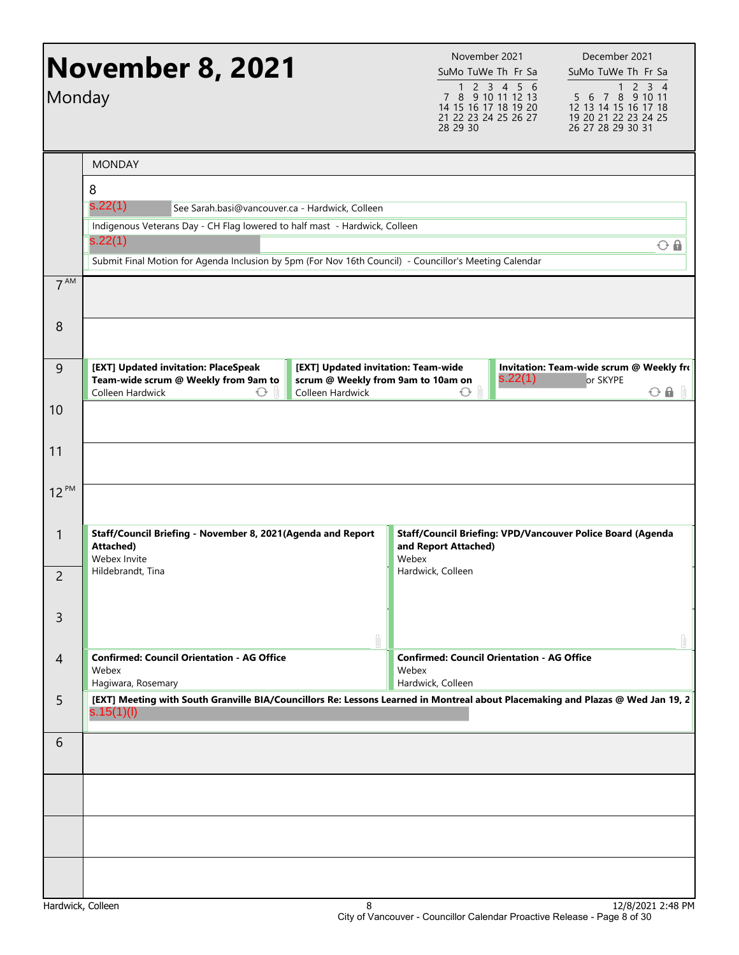| Monday             | <b>November 8, 2021</b>                                                                                                                                                                                                                                            | November 2021<br>SuMo TuWe Th Fr Sa<br>1 2 3 4 5 6<br>7 8 9 10 11 12 13<br>14 15 16 17 18 19 20<br>21 22 23 24 25 26 27<br>28 29 30 | December 2021<br>SuMo TuWe Th Fr Sa<br>$2 \t3 \t4$<br>1<br>5 6 7 8 9 10 11<br>12 13 14 15 16 17 18<br>19 20 21 22 23 24 25<br>26 27 28 29 30 31 |
|--------------------|--------------------------------------------------------------------------------------------------------------------------------------------------------------------------------------------------------------------------------------------------------------------|-------------------------------------------------------------------------------------------------------------------------------------|-------------------------------------------------------------------------------------------------------------------------------------------------|
|                    | <b>MONDAY</b>                                                                                                                                                                                                                                                      |                                                                                                                                     |                                                                                                                                                 |
|                    | 8<br>s.22(1)<br>See Sarah.basi@vancouver.ca - Hardwick, Colleen<br>Indigenous Veterans Day - CH Flag lowered to half mast - Hardwick, Colleen<br>s.22(1)<br>Submit Final Motion for Agenda Inclusion by 5pm (For Nov 16th Council) - Councillor's Meeting Calendar |                                                                                                                                     | $\odot$ a                                                                                                                                       |
| 7 <sup>AM</sup>    |                                                                                                                                                                                                                                                                    |                                                                                                                                     |                                                                                                                                                 |
| 8                  |                                                                                                                                                                                                                                                                    |                                                                                                                                     |                                                                                                                                                 |
| 9                  | [EXT] Updated invitation: PlaceSpeak<br>[EXT] Updated invitation: Team-wide<br>Team-wide scrum @ Weekly from 9am to<br>scrum @ Weekly from 9am to 10am on<br>Colleen Hardwick<br>$\bigcirc$<br>Colleen Hardwick                                                    | s.22(1)<br>くう                                                                                                                       | Invitation: Team-wide scrum @ Weekly fro<br>or SKYPE<br>$O$ $\theta$ $\theta$                                                                   |
| 10                 |                                                                                                                                                                                                                                                                    |                                                                                                                                     |                                                                                                                                                 |
| 11                 |                                                                                                                                                                                                                                                                    |                                                                                                                                     |                                                                                                                                                 |
| $12^{PM}$          |                                                                                                                                                                                                                                                                    |                                                                                                                                     |                                                                                                                                                 |
| $\mathbf{1}$       | Staff/Council Briefing - November 8, 2021(Agenda and Report<br>Attached)<br>Webex Invite                                                                                                                                                                           | Staff/Council Briefing: VPD/Vancouver Police Board (Agenda<br>and Report Attached)<br>Webex                                         |                                                                                                                                                 |
| $\overline{2}$     | Hildebrandt, Tina                                                                                                                                                                                                                                                  | Hardwick, Colleen                                                                                                                   |                                                                                                                                                 |
| 3                  |                                                                                                                                                                                                                                                                    |                                                                                                                                     |                                                                                                                                                 |
| $\overline{4}$     | <b>Confirmed: Council Orientation - AG Office</b><br>Webex<br>Hagiwara, Rosemary                                                                                                                                                                                   | <b>Confirmed: Council Orientation - AG Office</b><br>Webex<br>Hardwick, Colleen                                                     |                                                                                                                                                 |
| 5                  | [EXT] Meeting with South Granville BIA/Councillors Re: Lessons Learned in Montreal about Placemaking and Plazas @ Wed Jan 19, 2<br>s.15(1)(l)                                                                                                                      |                                                                                                                                     |                                                                                                                                                 |
| 6                  |                                                                                                                                                                                                                                                                    |                                                                                                                                     |                                                                                                                                                 |
|                    |                                                                                                                                                                                                                                                                    |                                                                                                                                     |                                                                                                                                                 |
|                    |                                                                                                                                                                                                                                                                    |                                                                                                                                     |                                                                                                                                                 |
|                    |                                                                                                                                                                                                                                                                    |                                                                                                                                     |                                                                                                                                                 |
| المقارب والمستوسات | $\Omega$<br>C <sub>2</sub> II <sub>2</sub>                                                                                                                                                                                                                         |                                                                                                                                     | 12101221234200                                                                                                                                  |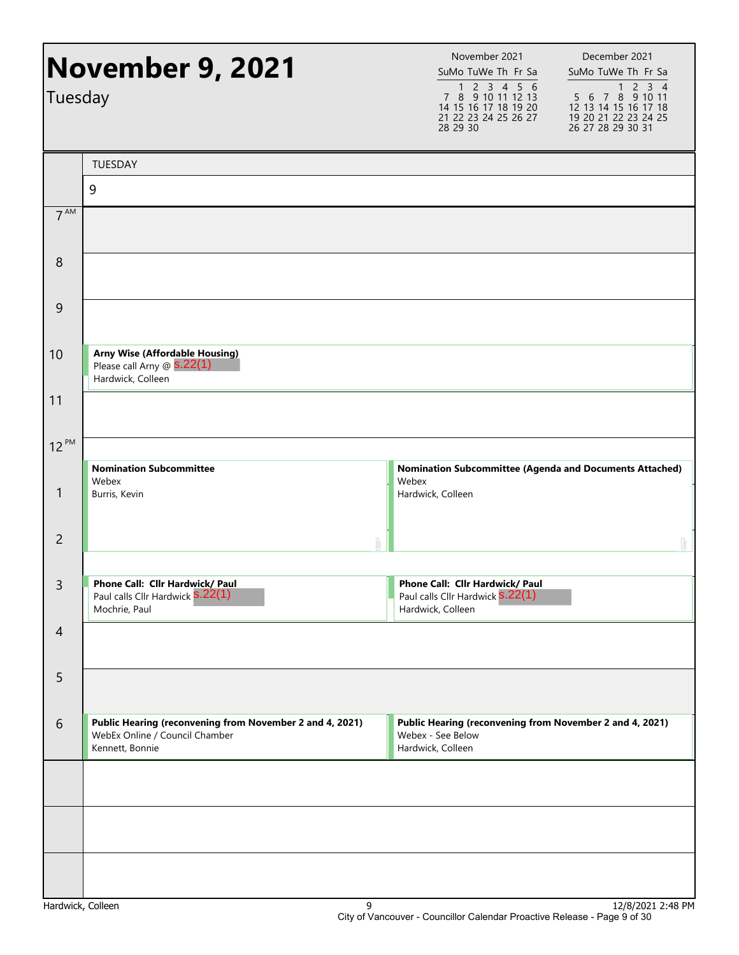| Tuesday           | <b>November 9, 2021</b>                                                                                       | November 2021<br>SuMo TuWe Th Fr Sa<br>1 2 3 4 5 6<br>7 8 9 10 11 12 13<br>14 15 16 17 18 19 20<br>21 22 23 24 25 26 27<br>28 29 30 | December 2021<br>SuMo TuWe Th Fr Sa<br>$\begin{array}{@{}c@{\hspace{1em}}c@{\hspace{1em}}c@{\hspace{1em}}c@{\hspace{1em}}c@{\hspace{1em}}c@{\hspace{1em}}c@{\hspace{1em}}c@{\hspace{1em}}c@{\hspace{1em}}c@{\hspace{1em}}c@{\hspace{1em}}c@{\hspace{1em}}c@{\hspace{1em}}c@{\hspace{1em}}c@{\hspace{1em}}c@{\hspace{1em}}c@{\hspace{1em}}c@{\hspace{1em}}c@{\hspace{1em}}c@{\hspace{1em}}c@{\hspace{1em}}c@{\hspace{1em}}c@{\hspace{1em}}c@{\hspace{$<br>12 13 14 15 16 17 18<br>19 20 21 22 23 24 25<br>26 27 28 29 30 31 |
|-------------------|---------------------------------------------------------------------------------------------------------------|-------------------------------------------------------------------------------------------------------------------------------------|----------------------------------------------------------------------------------------------------------------------------------------------------------------------------------------------------------------------------------------------------------------------------------------------------------------------------------------------------------------------------------------------------------------------------------------------------------------------------------------------------------------------------|
|                   | <b>TUESDAY</b>                                                                                                |                                                                                                                                     |                                                                                                                                                                                                                                                                                                                                                                                                                                                                                                                            |
|                   | 9                                                                                                             |                                                                                                                                     |                                                                                                                                                                                                                                                                                                                                                                                                                                                                                                                            |
| 7 <sup>AM</sup>   |                                                                                                               |                                                                                                                                     |                                                                                                                                                                                                                                                                                                                                                                                                                                                                                                                            |
| 8                 |                                                                                                               |                                                                                                                                     |                                                                                                                                                                                                                                                                                                                                                                                                                                                                                                                            |
| 9                 |                                                                                                               |                                                                                                                                     |                                                                                                                                                                                                                                                                                                                                                                                                                                                                                                                            |
| 10                | <b>Arny Wise (Affordable Housing)</b><br>Please call Arny @ S.22(1)<br>Hardwick, Colleen                      |                                                                                                                                     |                                                                                                                                                                                                                                                                                                                                                                                                                                                                                                                            |
| 11                |                                                                                                               |                                                                                                                                     |                                                                                                                                                                                                                                                                                                                                                                                                                                                                                                                            |
| $12^{PM}$         |                                                                                                               |                                                                                                                                     |                                                                                                                                                                                                                                                                                                                                                                                                                                                                                                                            |
|                   | <b>Nomination Subcommittee</b><br>Webex                                                                       | Nomination Subcommittee (Agenda and Documents Attached)<br>Webex                                                                    |                                                                                                                                                                                                                                                                                                                                                                                                                                                                                                                            |
| $\mathbf{1}$      | Burris, Kevin                                                                                                 | Hardwick, Colleen                                                                                                                   |                                                                                                                                                                                                                                                                                                                                                                                                                                                                                                                            |
| $\overline{2}$    |                                                                                                               |                                                                                                                                     |                                                                                                                                                                                                                                                                                                                                                                                                                                                                                                                            |
| 3                 | Phone Call: Cllr Hardwick/ Paul<br>Paul calls Cllr Hardwick S.22(1)<br>Mochrie, Paul                          | Phone Call: Cllr Hardwick/ Paul<br>Paul calls Cllr Hardwick S.22(1)<br>Hardwick, Colleen                                            |                                                                                                                                                                                                                                                                                                                                                                                                                                                                                                                            |
| 4                 |                                                                                                               |                                                                                                                                     |                                                                                                                                                                                                                                                                                                                                                                                                                                                                                                                            |
| 5                 |                                                                                                               |                                                                                                                                     |                                                                                                                                                                                                                                                                                                                                                                                                                                                                                                                            |
| 6                 | Public Hearing (reconvening from November 2 and 4, 2021)<br>WebEx Online / Council Chamber<br>Kennett, Bonnie | Public Hearing (reconvening from November 2 and 4, 2021)<br>Webex - See Below<br>Hardwick, Colleen                                  |                                                                                                                                                                                                                                                                                                                                                                                                                                                                                                                            |
|                   |                                                                                                               |                                                                                                                                     |                                                                                                                                                                                                                                                                                                                                                                                                                                                                                                                            |
|                   |                                                                                                               |                                                                                                                                     |                                                                                                                                                                                                                                                                                                                                                                                                                                                                                                                            |
|                   |                                                                                                               |                                                                                                                                     |                                                                                                                                                                                                                                                                                                                                                                                                                                                                                                                            |
| Hardwick, Colleen | 9                                                                                                             |                                                                                                                                     | 12/8/2021 2:48 PM                                                                                                                                                                                                                                                                                                                                                                                                                                                                                                          |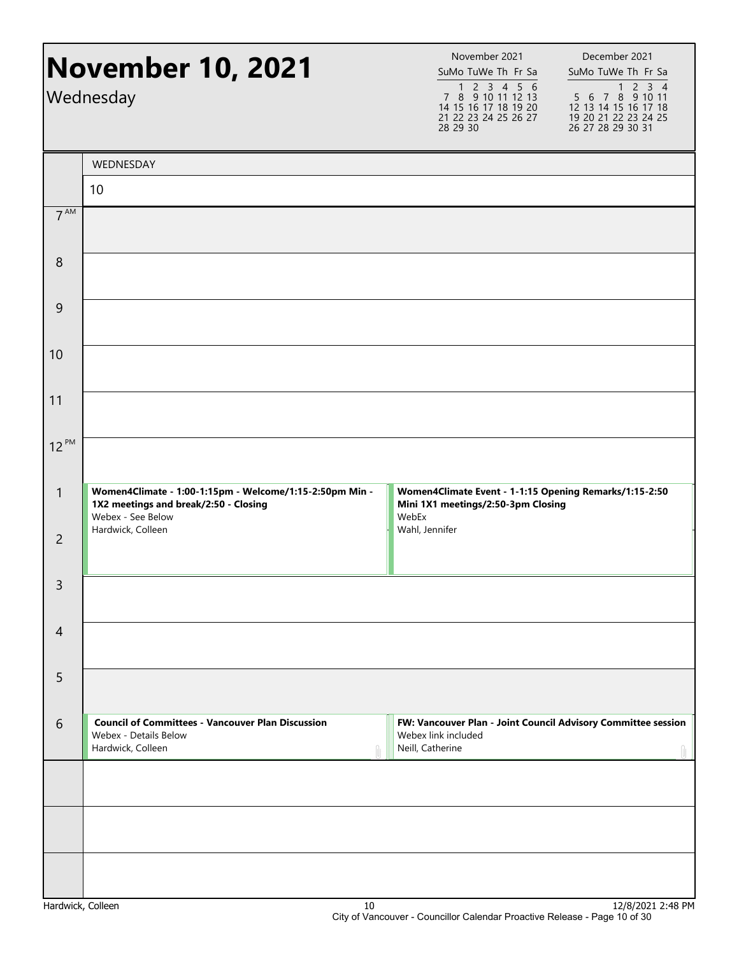|                   | <b>November 10, 2021</b><br>Wednesday                                                                                 | November 2021<br>SuMo TuWe Th Fr Sa<br>1 2 3 4 5 6<br>7 8 9 10 11 12 13<br>14 15 16 17 18 19 20<br>21 22 23 24 25 26 27<br>28 29 30 | December 2021<br>SuMo TuWe Th Fr Sa<br>$\begin{array}{@{}c@{\hspace{1em}}c@{\hspace{1em}}c@{\hspace{1em}}c@{\hspace{1em}}c@{\hspace{1em}}c@{\hspace{1em}}c@{\hspace{1em}}c@{\hspace{1em}}c@{\hspace{1em}}c@{\hspace{1em}}c@{\hspace{1em}}c@{\hspace{1em}}c@{\hspace{1em}}c@{\hspace{1em}}c@{\hspace{1em}}c@{\hspace{1em}}c@{\hspace{1em}}c@{\hspace{1em}}c@{\hspace{1em}}c@{\hspace{1em}}c@{\hspace{1em}}c@{\hspace{1em}}c@{\hspace{1em}}c@{\hspace{$<br>12 13 14 15 16 17 18<br>19 20 21 22 23 24 25<br>26 27 28 29 30 31 |
|-------------------|-----------------------------------------------------------------------------------------------------------------------|-------------------------------------------------------------------------------------------------------------------------------------|----------------------------------------------------------------------------------------------------------------------------------------------------------------------------------------------------------------------------------------------------------------------------------------------------------------------------------------------------------------------------------------------------------------------------------------------------------------------------------------------------------------------------|
|                   | WEDNESDAY                                                                                                             |                                                                                                                                     |                                                                                                                                                                                                                                                                                                                                                                                                                                                                                                                            |
|                   | 10                                                                                                                    |                                                                                                                                     |                                                                                                                                                                                                                                                                                                                                                                                                                                                                                                                            |
| 7 <sup>AM</sup>   |                                                                                                                       |                                                                                                                                     |                                                                                                                                                                                                                                                                                                                                                                                                                                                                                                                            |
| 8                 |                                                                                                                       |                                                                                                                                     |                                                                                                                                                                                                                                                                                                                                                                                                                                                                                                                            |
| 9                 |                                                                                                                       |                                                                                                                                     |                                                                                                                                                                                                                                                                                                                                                                                                                                                                                                                            |
| 10                |                                                                                                                       |                                                                                                                                     |                                                                                                                                                                                                                                                                                                                                                                                                                                                                                                                            |
| 11                |                                                                                                                       |                                                                                                                                     |                                                                                                                                                                                                                                                                                                                                                                                                                                                                                                                            |
| $12^{PM}$         |                                                                                                                       |                                                                                                                                     |                                                                                                                                                                                                                                                                                                                                                                                                                                                                                                                            |
| $\mathbf{1}$      | Women4Climate - 1:00-1:15pm - Welcome/1:15-2:50pm Min -<br>1X2 meetings and break/2:50 - Closing<br>Webex - See Below | Women4Climate Event - 1-1:15 Opening Remarks/1:15-2:50<br>Mini 1X1 meetings/2:50-3pm Closing<br>WebEx                               |                                                                                                                                                                                                                                                                                                                                                                                                                                                                                                                            |
| $\overline{2}$    | Hardwick, Colleen                                                                                                     | Wahl, Jennifer                                                                                                                      |                                                                                                                                                                                                                                                                                                                                                                                                                                                                                                                            |
| 3                 |                                                                                                                       |                                                                                                                                     |                                                                                                                                                                                                                                                                                                                                                                                                                                                                                                                            |
| $\overline{4}$    |                                                                                                                       |                                                                                                                                     |                                                                                                                                                                                                                                                                                                                                                                                                                                                                                                                            |
| 5                 |                                                                                                                       |                                                                                                                                     |                                                                                                                                                                                                                                                                                                                                                                                                                                                                                                                            |
| 6                 | <b>Council of Committees - Vancouver Plan Discussion</b><br>Webex - Details Below<br>Hardwick, Colleen                | FW: Vancouver Plan - Joint Council Advisory Committee session<br>Webex link included<br>Neill, Catherine                            |                                                                                                                                                                                                                                                                                                                                                                                                                                                                                                                            |
|                   |                                                                                                                       |                                                                                                                                     |                                                                                                                                                                                                                                                                                                                                                                                                                                                                                                                            |
|                   |                                                                                                                       |                                                                                                                                     |                                                                                                                                                                                                                                                                                                                                                                                                                                                                                                                            |
|                   |                                                                                                                       |                                                                                                                                     |                                                                                                                                                                                                                                                                                                                                                                                                                                                                                                                            |
| Hardwick, Colleen | $10\,$                                                                                                                |                                                                                                                                     | 12/8/2021 2:48 PM                                                                                                                                                                                                                                                                                                                                                                                                                                                                                                          |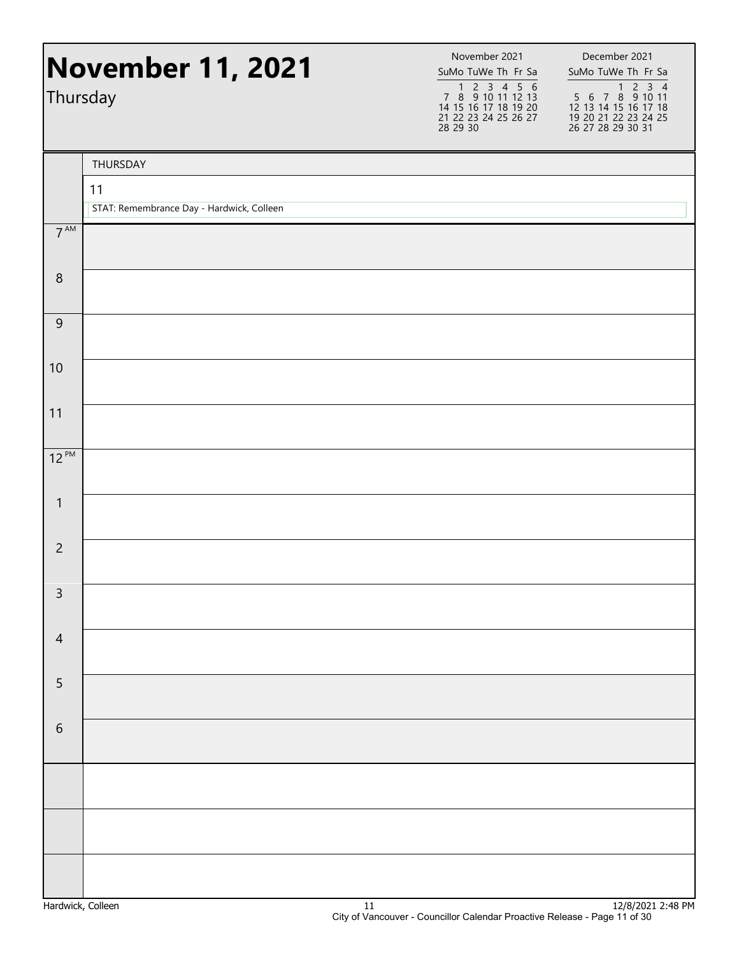| Thursday        | <b>November 11, 2021</b>                  | November 2021<br>SuMo TuWe Th Fr Sa<br>1 2 3 4 5 6<br>7 8 9 10 11 12 13<br>14 15 16 17 18 19 20<br>21 22 23 24 25 26 27<br>28 29 30 | December 2021<br>SuMo TuWe Th Fr Sa<br>1 2 3 4<br>5 6 7 8 9 10 11<br>12 13 14 15 16 17 18<br>19 20 21 22 23 24 25<br>26 27 28 29 30 31 |
|-----------------|-------------------------------------------|-------------------------------------------------------------------------------------------------------------------------------------|----------------------------------------------------------------------------------------------------------------------------------------|
|                 | THURSDAY                                  |                                                                                                                                     |                                                                                                                                        |
|                 | 11                                        |                                                                                                                                     |                                                                                                                                        |
| $7^{\text{AM}}$ | STAT: Remembrance Day - Hardwick, Colleen |                                                                                                                                     |                                                                                                                                        |
|                 |                                           |                                                                                                                                     |                                                                                                                                        |
| 8               |                                           |                                                                                                                                     |                                                                                                                                        |
| $\overline{9}$  |                                           |                                                                                                                                     |                                                                                                                                        |
| 10              |                                           |                                                                                                                                     |                                                                                                                                        |
| 11              |                                           |                                                                                                                                     |                                                                                                                                        |
| $12^{PM}$       |                                           |                                                                                                                                     |                                                                                                                                        |
| $\mathbf{1}$    |                                           |                                                                                                                                     |                                                                                                                                        |
| $\overline{2}$  |                                           |                                                                                                                                     |                                                                                                                                        |
| 3               |                                           |                                                                                                                                     |                                                                                                                                        |
| $\overline{4}$  |                                           |                                                                                                                                     |                                                                                                                                        |
| 5               |                                           |                                                                                                                                     |                                                                                                                                        |
| $\sqrt{6}$      |                                           |                                                                                                                                     |                                                                                                                                        |
|                 |                                           |                                                                                                                                     |                                                                                                                                        |
|                 |                                           |                                                                                                                                     |                                                                                                                                        |
|                 |                                           |                                                                                                                                     |                                                                                                                                        |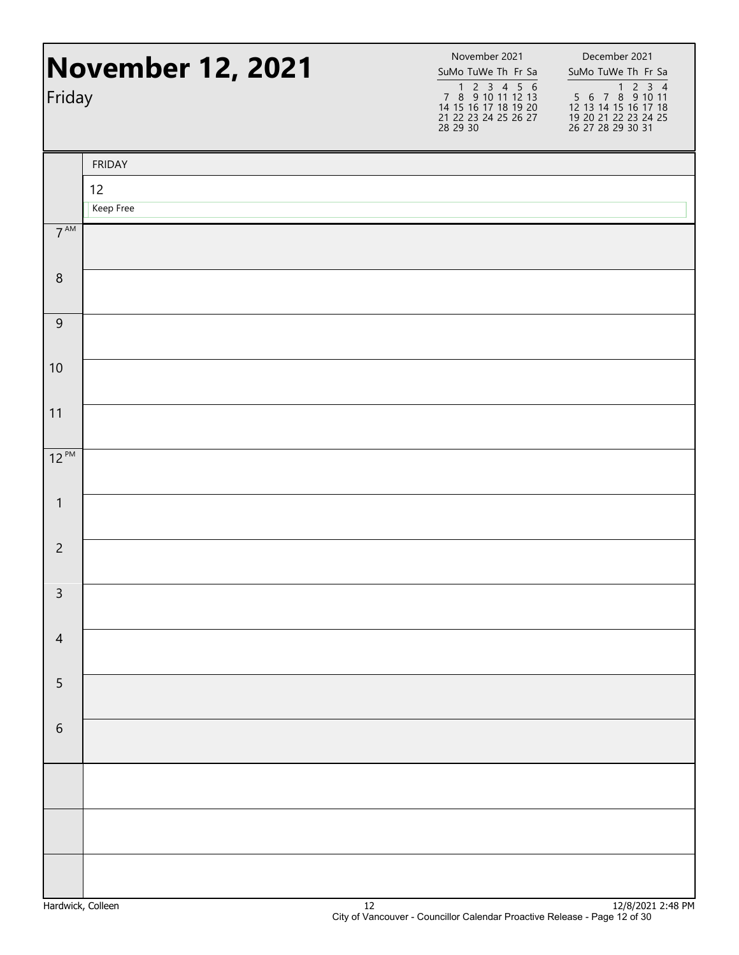| Friday          | <b>November 12, 2021</b> | November 2021<br>SuMo TuWe Th Fr Sa<br>1 2 3 4 5 6<br>7 8 9 10 11 12 13<br>14 15 16 17 18 19 20<br>21 22 23 24 25 26 27<br>28 29 30 | December 2021<br>SuMo TuWe Th Fr Sa |
|-----------------|--------------------------|-------------------------------------------------------------------------------------------------------------------------------------|-------------------------------------|
|                 | <b>FRIDAY</b>            |                                                                                                                                     |                                     |
|                 | 12                       |                                                                                                                                     |                                     |
|                 | Keep Free                |                                                                                                                                     |                                     |
| $7^{\text{AM}}$ |                          |                                                                                                                                     |                                     |
| $\, 8$          |                          |                                                                                                                                     |                                     |
| $\overline{9}$  |                          |                                                                                                                                     |                                     |
| 10              |                          |                                                                                                                                     |                                     |
| 11              |                          |                                                                                                                                     |                                     |
| $12^{PM}$       |                          |                                                                                                                                     |                                     |
| 1               |                          |                                                                                                                                     |                                     |
| $\overline{2}$  |                          |                                                                                                                                     |                                     |
| 3               |                          |                                                                                                                                     |                                     |
| $\overline{4}$  |                          |                                                                                                                                     |                                     |
| 5               |                          |                                                                                                                                     |                                     |
| 6               |                          |                                                                                                                                     |                                     |
|                 |                          |                                                                                                                                     |                                     |
|                 |                          |                                                                                                                                     |                                     |
|                 |                          |                                                                                                                                     |                                     |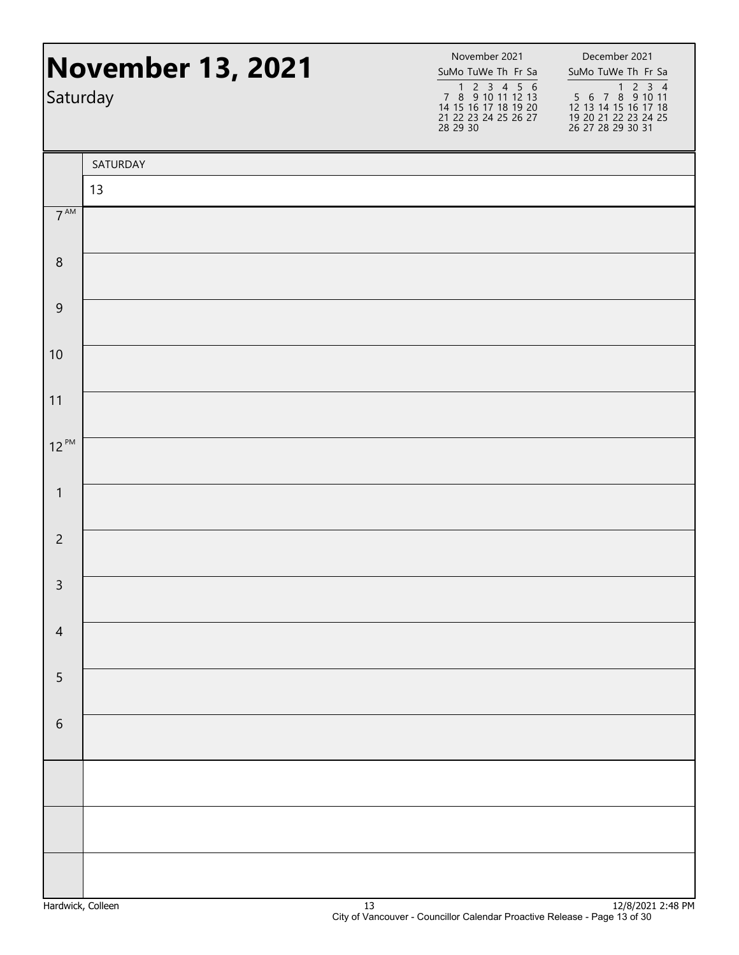| Saturday         | <b>November 13, 2021</b> | November 2021<br>SuMo TuWe Th Fr Sa<br>1 2 3 4 5 6<br>7 8 9 10 11 12 13<br>14 15 16 17 18 19 20<br>21 22 23 24 25 26 27<br>28 29 30 | December 2021<br>SuMo TuWe Th Fr Sa<br>1 2 3 4<br>5 6 7 8 9 10 11<br>12 13 14 15 16 17 18<br>19 20 21 22 23 24 25<br>26 27 28 29 30 31 |  |
|------------------|--------------------------|-------------------------------------------------------------------------------------------------------------------------------------|----------------------------------------------------------------------------------------------------------------------------------------|--|
|                  | SATURDAY                 |                                                                                                                                     |                                                                                                                                        |  |
|                  | 13                       |                                                                                                                                     |                                                                                                                                        |  |
| 7 <sup>AM</sup>  |                          |                                                                                                                                     |                                                                                                                                        |  |
| $\,8\,$          |                          |                                                                                                                                     |                                                                                                                                        |  |
| $\boldsymbol{9}$ |                          |                                                                                                                                     |                                                                                                                                        |  |
| 10               |                          |                                                                                                                                     |                                                                                                                                        |  |
| 11               |                          |                                                                                                                                     |                                                                                                                                        |  |
| $12^{PM}$        |                          |                                                                                                                                     |                                                                                                                                        |  |
| $\mathbf{1}$     |                          |                                                                                                                                     |                                                                                                                                        |  |
| $\overline{2}$   |                          |                                                                                                                                     |                                                                                                                                        |  |
| $\mathbf{R}$     |                          |                                                                                                                                     |                                                                                                                                        |  |
| $\overline{4}$   |                          |                                                                                                                                     |                                                                                                                                        |  |
| 5                |                          |                                                                                                                                     |                                                                                                                                        |  |
| $\,$ 6 $\,$      |                          |                                                                                                                                     |                                                                                                                                        |  |
|                  |                          |                                                                                                                                     |                                                                                                                                        |  |
|                  |                          |                                                                                                                                     |                                                                                                                                        |  |
|                  |                          |                                                                                                                                     |                                                                                                                                        |  |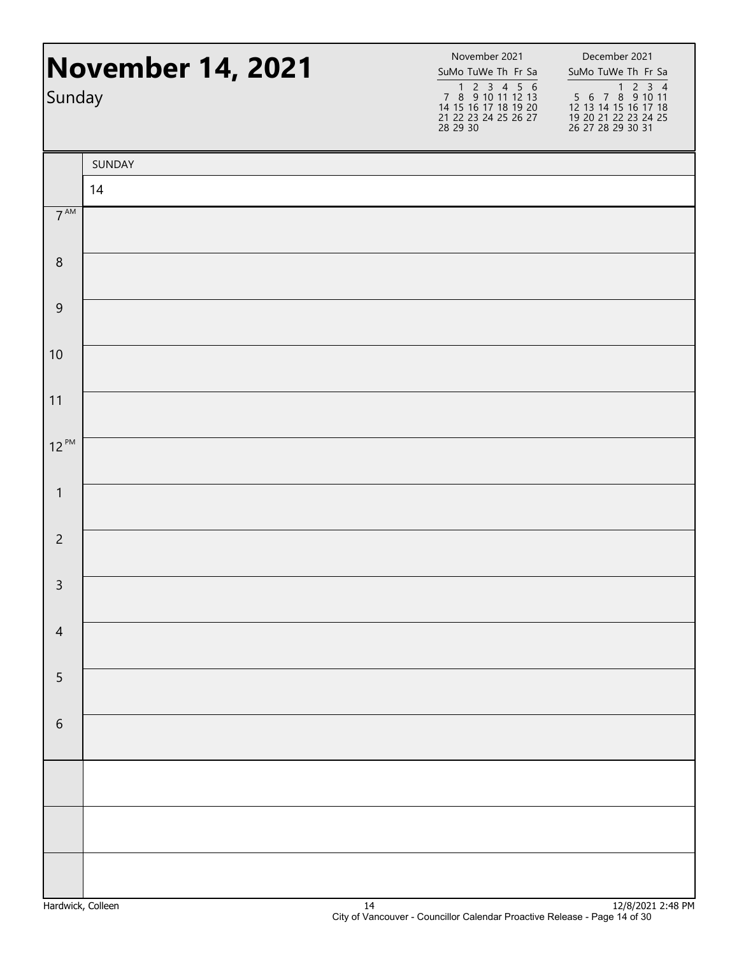| Sunday          | <b>November 14, 2021</b> | November 2021<br>SuMo TuWe Th Fr Sa<br>1 2 3 4 5 6<br>7 8 9 10 11 12 13<br>14 15 16 17 18 19 20<br>21 22 23 24 25 26 27<br>28 29 30 | December 2021<br>SuMo TuWe Th Fr Sa |  |
|-----------------|--------------------------|-------------------------------------------------------------------------------------------------------------------------------------|-------------------------------------|--|
|                 | SUNDAY                   |                                                                                                                                     |                                     |  |
|                 | 14                       |                                                                                                                                     |                                     |  |
| $7^{\text{AM}}$ |                          |                                                                                                                                     |                                     |  |
| $\, 8$          |                          |                                                                                                                                     |                                     |  |
| 9               |                          |                                                                                                                                     |                                     |  |
| 10              |                          |                                                                                                                                     |                                     |  |
| 11              |                          |                                                                                                                                     |                                     |  |
| $12^{PM}$       |                          |                                                                                                                                     |                                     |  |
| $\mathbf{1}$    |                          |                                                                                                                                     |                                     |  |
| $\overline{c}$  |                          |                                                                                                                                     |                                     |  |
| $\overline{3}$  |                          |                                                                                                                                     |                                     |  |
| $\overline{4}$  |                          |                                                                                                                                     |                                     |  |
| 5               |                          |                                                                                                                                     |                                     |  |
| $\,$ 6 $\,$     |                          |                                                                                                                                     |                                     |  |
|                 |                          |                                                                                                                                     |                                     |  |
|                 |                          |                                                                                                                                     |                                     |  |
|                 |                          |                                                                                                                                     |                                     |  |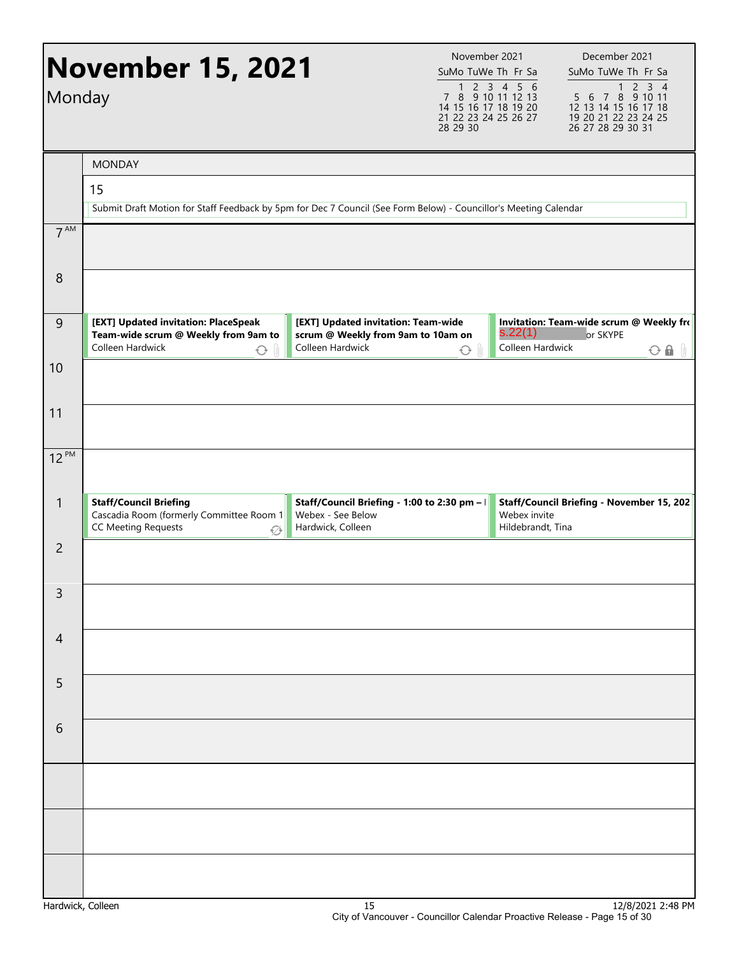| Monday          | <b>November 15, 2021</b>                                                                                         |                                                                                               | November 2021<br>SuMo TuWe Th Fr Sa<br>1 2 3 4 5 6<br>7 8 9 10 11 12 13<br>14 15 16 17 18 19 20<br>21 22 23 24 25 26 27<br>28 29 30 |                                   | December 2021<br>SuMo TuWe Th Fr Sa<br>5 6 7 8 9 10 11<br>12 13 14 15 16 17 18<br>19 20 21 22 23 24 25<br>26 27 28 29 30 31 | $1 2 3 4$ |
|-----------------|------------------------------------------------------------------------------------------------------------------|-----------------------------------------------------------------------------------------------|-------------------------------------------------------------------------------------------------------------------------------------|-----------------------------------|-----------------------------------------------------------------------------------------------------------------------------|-----------|
|                 | <b>MONDAY</b>                                                                                                    |                                                                                               |                                                                                                                                     |                                   |                                                                                                                             |           |
|                 | 15                                                                                                               |                                                                                               |                                                                                                                                     |                                   |                                                                                                                             |           |
|                 | Submit Draft Motion for Staff Feedback by 5pm for Dec 7 Council (See Form Below) - Councillor's Meeting Calendar |                                                                                               |                                                                                                                                     |                                   |                                                                                                                             |           |
| 7 <sup>AM</sup> |                                                                                                                  |                                                                                               |                                                                                                                                     |                                   |                                                                                                                             |           |
| 8               |                                                                                                                  |                                                                                               |                                                                                                                                     |                                   |                                                                                                                             |           |
| 9               | [EXT] Updated invitation: PlaceSpeak<br>Team-wide scrum @ Weekly from 9am to<br>Colleen Hardwick<br>$\bigodot$   | [EXT] Updated invitation: Team-wide<br>scrum @ Weekly from 9am to 10am on<br>Colleen Hardwick | ↔                                                                                                                                   | s.22(1)<br>Colleen Hardwick       | Invitation: Team-wide scrum @ Weekly fro<br>or SKYPE                                                                        |           |
| 10              |                                                                                                                  |                                                                                               |                                                                                                                                     |                                   |                                                                                                                             | $\odot$ a |
| 11              |                                                                                                                  |                                                                                               |                                                                                                                                     |                                   |                                                                                                                             |           |
| 12 PM           |                                                                                                                  |                                                                                               |                                                                                                                                     |                                   |                                                                                                                             |           |
| $\mathbf{1}$    | <b>Staff/Council Briefing</b><br>Cascadia Room (formerly Committee Room 1<br><b>CC Meeting Requests</b><br>♦     | Staff/Council Briefing - 1:00 to 2:30 pm - I<br>Webex - See Below<br>Hardwick, Colleen        |                                                                                                                                     | Webex invite<br>Hildebrandt, Tina | Staff/Council Briefing - November 15, 202                                                                                   |           |
| $\overline{2}$  |                                                                                                                  |                                                                                               |                                                                                                                                     |                                   |                                                                                                                             |           |
| 3               |                                                                                                                  |                                                                                               |                                                                                                                                     |                                   |                                                                                                                             |           |
| 4               |                                                                                                                  |                                                                                               |                                                                                                                                     |                                   |                                                                                                                             |           |
| 5               |                                                                                                                  |                                                                                               |                                                                                                                                     |                                   |                                                                                                                             |           |
| 6               |                                                                                                                  |                                                                                               |                                                                                                                                     |                                   |                                                                                                                             |           |
|                 |                                                                                                                  |                                                                                               |                                                                                                                                     |                                   |                                                                                                                             |           |
|                 |                                                                                                                  |                                                                                               |                                                                                                                                     |                                   |                                                                                                                             |           |
|                 |                                                                                                                  |                                                                                               |                                                                                                                                     |                                   |                                                                                                                             |           |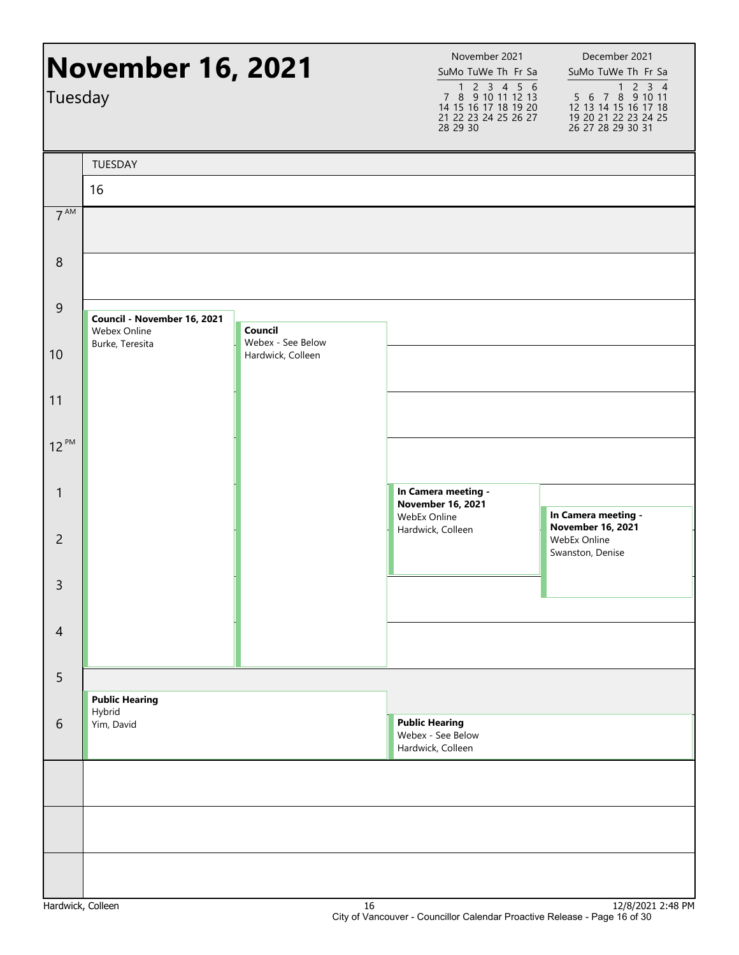| Tuesday         | November 16, 2021                           |                                        | November 2021<br>SuMo TuWe Th Fr Sa<br>1 2 3 4 5 6<br>7 8 9 10 11 12 13<br>14 15 16 17 18 19 20 | December 2021<br>SuMo TuWe Th Fr Sa<br>$\begin{array}{@{}c@{\hspace{1em}}c@{\hspace{1em}}c@{\hspace{1em}}c@{\hspace{1em}}c@{\hspace{1em}}c@{\hspace{1em}}c@{\hspace{1em}}c@{\hspace{1em}}c@{\hspace{1em}}c@{\hspace{1em}}c@{\hspace{1em}}c@{\hspace{1em}}c@{\hspace{1em}}c@{\hspace{1em}}c@{\hspace{1em}}c@{\hspace{1em}}c@{\hspace{1em}}c@{\hspace{1em}}c@{\hspace{1em}}c@{\hspace{1em}}c@{\hspace{1em}}c@{\hspace{1em}}c@{\hspace{1em}}c@{\hspace{$<br>12 13 14 15 16 17 18 |
|-----------------|---------------------------------------------|----------------------------------------|-------------------------------------------------------------------------------------------------|-------------------------------------------------------------------------------------------------------------------------------------------------------------------------------------------------------------------------------------------------------------------------------------------------------------------------------------------------------------------------------------------------------------------------------------------------------------------------------|
|                 |                                             |                                        | 21 22 23 24 25 26 27<br>28 29 30                                                                | 19 20 21 22 23 24 25<br>26 27 28 29 30 31                                                                                                                                                                                                                                                                                                                                                                                                                                     |
|                 | TUESDAY                                     |                                        |                                                                                                 |                                                                                                                                                                                                                                                                                                                                                                                                                                                                               |
|                 | 16                                          |                                        |                                                                                                 |                                                                                                                                                                                                                                                                                                                                                                                                                                                                               |
| 7 <sup>AM</sup> |                                             |                                        |                                                                                                 |                                                                                                                                                                                                                                                                                                                                                                                                                                                                               |
|                 |                                             |                                        |                                                                                                 |                                                                                                                                                                                                                                                                                                                                                                                                                                                                               |
| $8\phantom{1}$  |                                             |                                        |                                                                                                 |                                                                                                                                                                                                                                                                                                                                                                                                                                                                               |
| $\overline{9}$  |                                             |                                        |                                                                                                 |                                                                                                                                                                                                                                                                                                                                                                                                                                                                               |
|                 | Council - November 16, 2021<br>Webex Online | Council                                |                                                                                                 |                                                                                                                                                                                                                                                                                                                                                                                                                                                                               |
| 10              | Burke, Teresita                             | Webex - See Below<br>Hardwick, Colleen |                                                                                                 |                                                                                                                                                                                                                                                                                                                                                                                                                                                                               |
| 11              |                                             |                                        |                                                                                                 |                                                                                                                                                                                                                                                                                                                                                                                                                                                                               |
|                 |                                             |                                        |                                                                                                 |                                                                                                                                                                                                                                                                                                                                                                                                                                                                               |
| $12^{PM}$       |                                             |                                        |                                                                                                 |                                                                                                                                                                                                                                                                                                                                                                                                                                                                               |
|                 |                                             |                                        |                                                                                                 |                                                                                                                                                                                                                                                                                                                                                                                                                                                                               |
| $\mathbf{1}$    |                                             |                                        | In Camera meeting -<br><b>November 16, 2021</b>                                                 |                                                                                                                                                                                                                                                                                                                                                                                                                                                                               |
|                 |                                             |                                        | WebEx Online<br>Hardwick, Colleen                                                               | In Camera meeting -<br><b>November 16, 2021</b>                                                                                                                                                                                                                                                                                                                                                                                                                               |
| $\overline{2}$  |                                             |                                        |                                                                                                 | WebEx Online<br>Swanston, Denise                                                                                                                                                                                                                                                                                                                                                                                                                                              |
|                 |                                             |                                        |                                                                                                 |                                                                                                                                                                                                                                                                                                                                                                                                                                                                               |
| $\mathsf 3$     |                                             |                                        |                                                                                                 |                                                                                                                                                                                                                                                                                                                                                                                                                                                                               |
| $\overline{4}$  |                                             |                                        |                                                                                                 |                                                                                                                                                                                                                                                                                                                                                                                                                                                                               |
|                 |                                             |                                        |                                                                                                 |                                                                                                                                                                                                                                                                                                                                                                                                                                                                               |
| 5               |                                             |                                        |                                                                                                 |                                                                                                                                                                                                                                                                                                                                                                                                                                                                               |
|                 | <b>Public Hearing</b><br>Hybrid             |                                        |                                                                                                 |                                                                                                                                                                                                                                                                                                                                                                                                                                                                               |
| 6               | Yim, David                                  |                                        | <b>Public Hearing</b><br>Webex - See Below<br>Hardwick, Colleen                                 |                                                                                                                                                                                                                                                                                                                                                                                                                                                                               |
|                 |                                             |                                        |                                                                                                 |                                                                                                                                                                                                                                                                                                                                                                                                                                                                               |
|                 |                                             |                                        |                                                                                                 |                                                                                                                                                                                                                                                                                                                                                                                                                                                                               |
|                 |                                             |                                        |                                                                                                 |                                                                                                                                                                                                                                                                                                                                                                                                                                                                               |
|                 |                                             |                                        |                                                                                                 |                                                                                                                                                                                                                                                                                                                                                                                                                                                                               |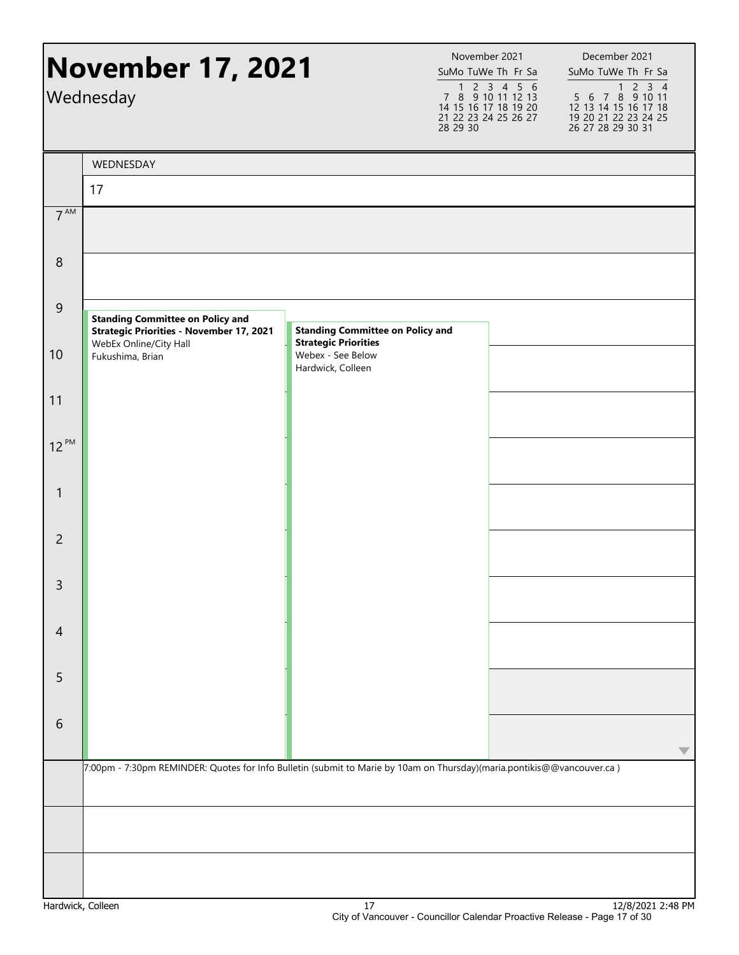|                 | <b>November 17, 2021</b><br>Wednesday                                                                                  |                                                                        | November 2021<br>SuMo TuWe Th Fr Sa<br>1 2 3 4 5 6<br>7 8 9 10 11 12 13<br>14 15 16 17 18 19 20<br>21 22 23 24 25 26 27<br>28 29 30 | December 2021<br>SuMo TuWe Th Fr Sa<br>1 2 3 4<br>5 6 7 8 9 10 11<br>12 13 14 15 16 17 18<br>19 20 21 22 23 24 25<br>26 27 28 29 30 31 |
|-----------------|------------------------------------------------------------------------------------------------------------------------|------------------------------------------------------------------------|-------------------------------------------------------------------------------------------------------------------------------------|----------------------------------------------------------------------------------------------------------------------------------------|
|                 | WEDNESDAY                                                                                                              |                                                                        |                                                                                                                                     |                                                                                                                                        |
|                 | 17                                                                                                                     |                                                                        |                                                                                                                                     |                                                                                                                                        |
| 7 <sup>AM</sup> |                                                                                                                        |                                                                        |                                                                                                                                     |                                                                                                                                        |
| $\,8\,$         |                                                                                                                        |                                                                        |                                                                                                                                     |                                                                                                                                        |
| 9               | <b>Standing Committee on Policy and</b><br><b>Strategic Priorities - November 17, 2021</b><br>WebEx Online/City Hall   | <b>Standing Committee on Policy and</b><br><b>Strategic Priorities</b> |                                                                                                                                     |                                                                                                                                        |
| 10              | Fukushima, Brian                                                                                                       | Webex - See Below<br>Hardwick, Colleen                                 |                                                                                                                                     |                                                                                                                                        |
| 11              |                                                                                                                        |                                                                        |                                                                                                                                     |                                                                                                                                        |
| $12^{PM}$       |                                                                                                                        |                                                                        |                                                                                                                                     |                                                                                                                                        |
| $\mathbf{1}$    |                                                                                                                        |                                                                        |                                                                                                                                     |                                                                                                                                        |
| $\overline{2}$  |                                                                                                                        |                                                                        |                                                                                                                                     |                                                                                                                                        |
| 3               |                                                                                                                        |                                                                        |                                                                                                                                     |                                                                                                                                        |
| $\overline{4}$  |                                                                                                                        |                                                                        |                                                                                                                                     |                                                                                                                                        |
| 5               |                                                                                                                        |                                                                        |                                                                                                                                     |                                                                                                                                        |
| 6               |                                                                                                                        |                                                                        |                                                                                                                                     |                                                                                                                                        |
|                 | 7:00pm - 7:30pm REMINDER: Quotes for Info Bulletin (submit to Marie by 10am on Thursday)(maria.pontikis@@vancouver.ca) |                                                                        |                                                                                                                                     |                                                                                                                                        |
|                 |                                                                                                                        |                                                                        |                                                                                                                                     |                                                                                                                                        |
|                 |                                                                                                                        |                                                                        |                                                                                                                                     |                                                                                                                                        |
|                 |                                                                                                                        |                                                                        |                                                                                                                                     |                                                                                                                                        |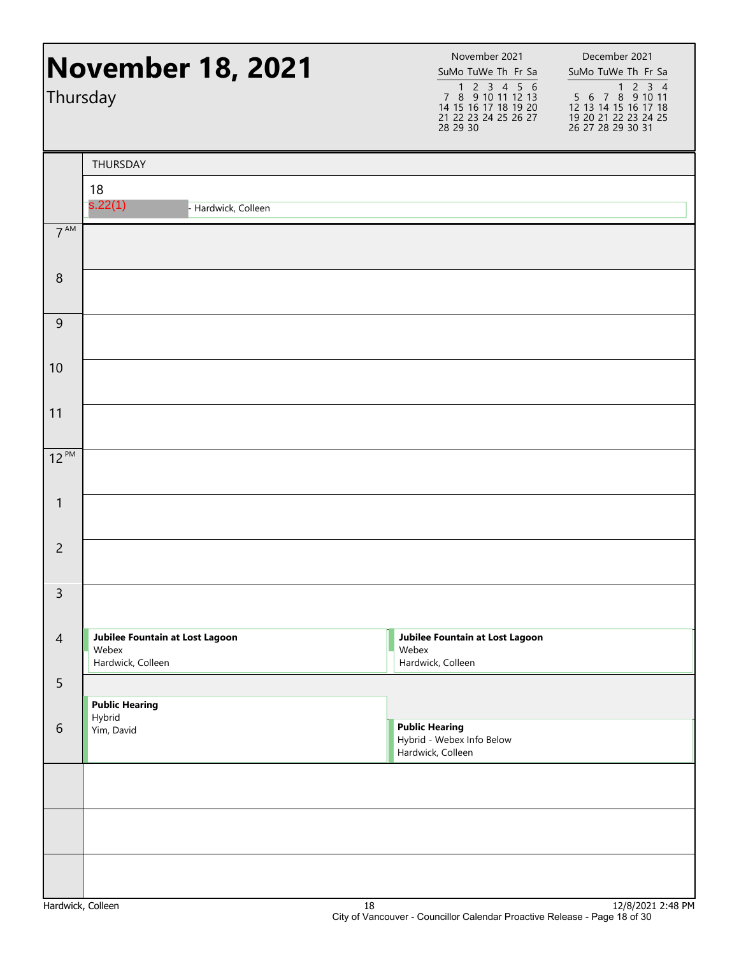| Thursday        | <b>November 18, 2021</b>                                      | November 2021<br>SuMo TuWe Th Fr Sa<br>1 2 3 4 5 6<br>7 8 9 10 11 12 13<br>14 15 16 17 18 19 20<br>21 22 23 24 25 26 27<br>28 29 30 | December 2021<br>SuMo TuWe Th Fr Sa<br>$\begin{array}{@{}c@{\hspace{1em}}c@{\hspace{1em}}c@{\hspace{1em}}c@{\hspace{1em}}c@{\hspace{1em}}c@{\hspace{1em}}c@{\hspace{1em}}c@{\hspace{1em}}c@{\hspace{1em}}c@{\hspace{1em}}c@{\hspace{1em}}c@{\hspace{1em}}c@{\hspace{1em}}c@{\hspace{1em}}c@{\hspace{1em}}c@{\hspace{1em}}c@{\hspace{1em}}c@{\hspace{1em}}c@{\hspace{1em}}c@{\hspace{1em}}c@{\hspace{1em}}c@{\hspace{1em}}c@{\hspace{1em}}c@{\hspace{$<br>12 13 14 15 16 17 18<br>19 20 21 22 23 24 25<br>26 27 28 29 30 31 |
|-----------------|---------------------------------------------------------------|-------------------------------------------------------------------------------------------------------------------------------------|----------------------------------------------------------------------------------------------------------------------------------------------------------------------------------------------------------------------------------------------------------------------------------------------------------------------------------------------------------------------------------------------------------------------------------------------------------------------------------------------------------------------------|
|                 | THURSDAY                                                      |                                                                                                                                     |                                                                                                                                                                                                                                                                                                                                                                                                                                                                                                                            |
|                 | 18                                                            |                                                                                                                                     |                                                                                                                                                                                                                                                                                                                                                                                                                                                                                                                            |
|                 | s.22(1)<br>Hardwick, Colleen                                  |                                                                                                                                     |                                                                                                                                                                                                                                                                                                                                                                                                                                                                                                                            |
| 7 <sup>AM</sup> |                                                               |                                                                                                                                     |                                                                                                                                                                                                                                                                                                                                                                                                                                                                                                                            |
| $\,8\,$         |                                                               |                                                                                                                                     |                                                                                                                                                                                                                                                                                                                                                                                                                                                                                                                            |
| $\overline{9}$  |                                                               |                                                                                                                                     |                                                                                                                                                                                                                                                                                                                                                                                                                                                                                                                            |
| 10              |                                                               |                                                                                                                                     |                                                                                                                                                                                                                                                                                                                                                                                                                                                                                                                            |
| 11              |                                                               |                                                                                                                                     |                                                                                                                                                                                                                                                                                                                                                                                                                                                                                                                            |
| $12^{PM}$       |                                                               |                                                                                                                                     |                                                                                                                                                                                                                                                                                                                                                                                                                                                                                                                            |
| $\mathbf{1}$    |                                                               |                                                                                                                                     |                                                                                                                                                                                                                                                                                                                                                                                                                                                                                                                            |
| $\overline{2}$  |                                                               |                                                                                                                                     |                                                                                                                                                                                                                                                                                                                                                                                                                                                                                                                            |
| $\overline{3}$  |                                                               |                                                                                                                                     |                                                                                                                                                                                                                                                                                                                                                                                                                                                                                                                            |
| $\overline{4}$  | Jubilee Fountain at Lost Lagoon<br>Webex<br>Hardwick, Colleen | Jubilee Fountain at Lost Lagoon<br>Webex<br>Hardwick, Colleen                                                                       |                                                                                                                                                                                                                                                                                                                                                                                                                                                                                                                            |
| 5               | <b>Public Hearing</b>                                         |                                                                                                                                     |                                                                                                                                                                                                                                                                                                                                                                                                                                                                                                                            |
| 6               | Hybrid<br>Yim, David                                          | <b>Public Hearing</b><br>Hybrid - Webex Info Below<br>Hardwick, Colleen                                                             |                                                                                                                                                                                                                                                                                                                                                                                                                                                                                                                            |
|                 |                                                               |                                                                                                                                     |                                                                                                                                                                                                                                                                                                                                                                                                                                                                                                                            |
|                 |                                                               |                                                                                                                                     |                                                                                                                                                                                                                                                                                                                                                                                                                                                                                                                            |
|                 |                                                               |                                                                                                                                     |                                                                                                                                                                                                                                                                                                                                                                                                                                                                                                                            |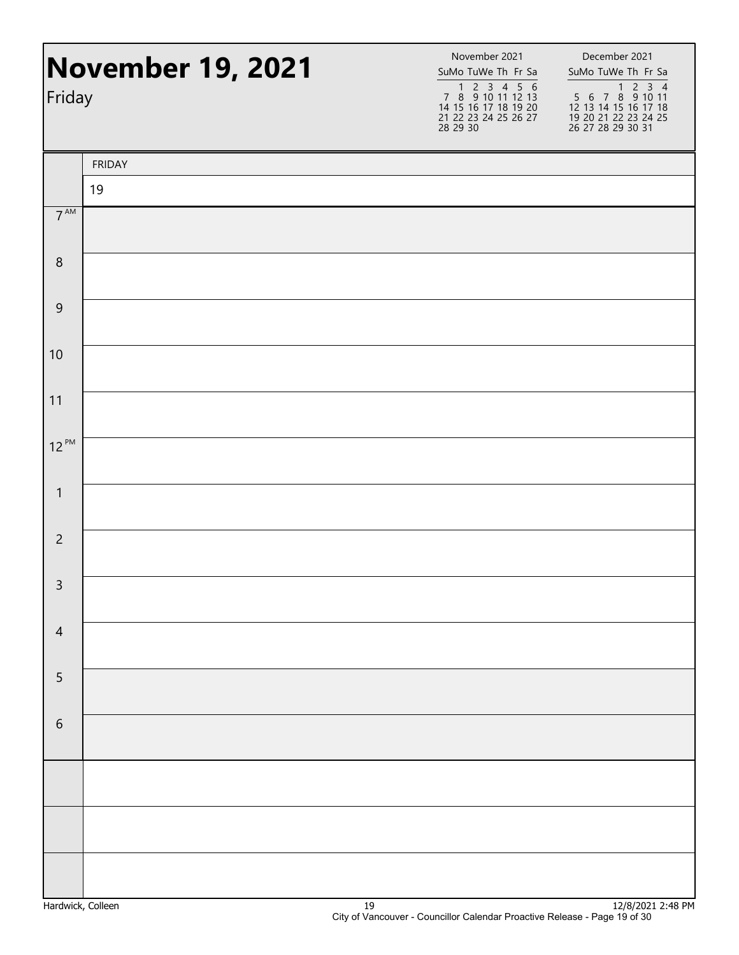| Friday           | November 19, 2021 | November 2021<br>SuMo TuWe Th Fr Sa<br>1 2 3 4 5 6<br>7 8 9 10 11 12 13<br>14 15 16 17 18 19 20<br>21 22 23 24 25 26 27<br>28 29 30 | December 2021<br>SuMo TuWe Th Fr Sa<br>$\begin{array}{@{}c@{\hspace{1em}}c@{\hspace{1em}}c@{\hspace{1em}}c@{\hspace{1em}}c@{\hspace{1em}}c@{\hspace{1em}}c@{\hspace{1em}}c@{\hspace{1em}}c@{\hspace{1em}}c@{\hspace{1em}}c@{\hspace{1em}}c@{\hspace{1em}}c@{\hspace{1em}}c@{\hspace{1em}}c@{\hspace{1em}}c@{\hspace{1em}}c@{\hspace{1em}}c@{\hspace{1em}}c@{\hspace{1em}}c@{\hspace{1em}}c@{\hspace{1em}}c@{\hspace{1em}}c@{\hspace{1em}}c@{\hspace{$<br>12 13 14 15 16 17 18<br>19 20 21 22 23 24 25<br>26 27 28 29 30 31 |  |  |
|------------------|-------------------|-------------------------------------------------------------------------------------------------------------------------------------|----------------------------------------------------------------------------------------------------------------------------------------------------------------------------------------------------------------------------------------------------------------------------------------------------------------------------------------------------------------------------------------------------------------------------------------------------------------------------------------------------------------------------|--|--|
|                  | <b>FRIDAY</b>     |                                                                                                                                     |                                                                                                                                                                                                                                                                                                                                                                                                                                                                                                                            |  |  |
|                  | 19                |                                                                                                                                     |                                                                                                                                                                                                                                                                                                                                                                                                                                                                                                                            |  |  |
| 7 <sup>AM</sup>  |                   |                                                                                                                                     |                                                                                                                                                                                                                                                                                                                                                                                                                                                                                                                            |  |  |
| $\boldsymbol{8}$ |                   |                                                                                                                                     |                                                                                                                                                                                                                                                                                                                                                                                                                                                                                                                            |  |  |
| 9                |                   |                                                                                                                                     |                                                                                                                                                                                                                                                                                                                                                                                                                                                                                                                            |  |  |
| 10               |                   |                                                                                                                                     |                                                                                                                                                                                                                                                                                                                                                                                                                                                                                                                            |  |  |
| 11               |                   |                                                                                                                                     |                                                                                                                                                                                                                                                                                                                                                                                                                                                                                                                            |  |  |
| $12^{PM}$        |                   |                                                                                                                                     |                                                                                                                                                                                                                                                                                                                                                                                                                                                                                                                            |  |  |
| $\mathbf{1}$     |                   |                                                                                                                                     |                                                                                                                                                                                                                                                                                                                                                                                                                                                                                                                            |  |  |
| $\overline{2}$   |                   |                                                                                                                                     |                                                                                                                                                                                                                                                                                                                                                                                                                                                                                                                            |  |  |
| $\overline{3}$   |                   |                                                                                                                                     |                                                                                                                                                                                                                                                                                                                                                                                                                                                                                                                            |  |  |
| $\overline{4}$   |                   |                                                                                                                                     |                                                                                                                                                                                                                                                                                                                                                                                                                                                                                                                            |  |  |
| 5                |                   |                                                                                                                                     |                                                                                                                                                                                                                                                                                                                                                                                                                                                                                                                            |  |  |
| $\,$ 6 $\,$      |                   |                                                                                                                                     |                                                                                                                                                                                                                                                                                                                                                                                                                                                                                                                            |  |  |
|                  |                   |                                                                                                                                     |                                                                                                                                                                                                                                                                                                                                                                                                                                                                                                                            |  |  |
|                  |                   |                                                                                                                                     |                                                                                                                                                                                                                                                                                                                                                                                                                                                                                                                            |  |  |
|                  |                   |                                                                                                                                     |                                                                                                                                                                                                                                                                                                                                                                                                                                                                                                                            |  |  |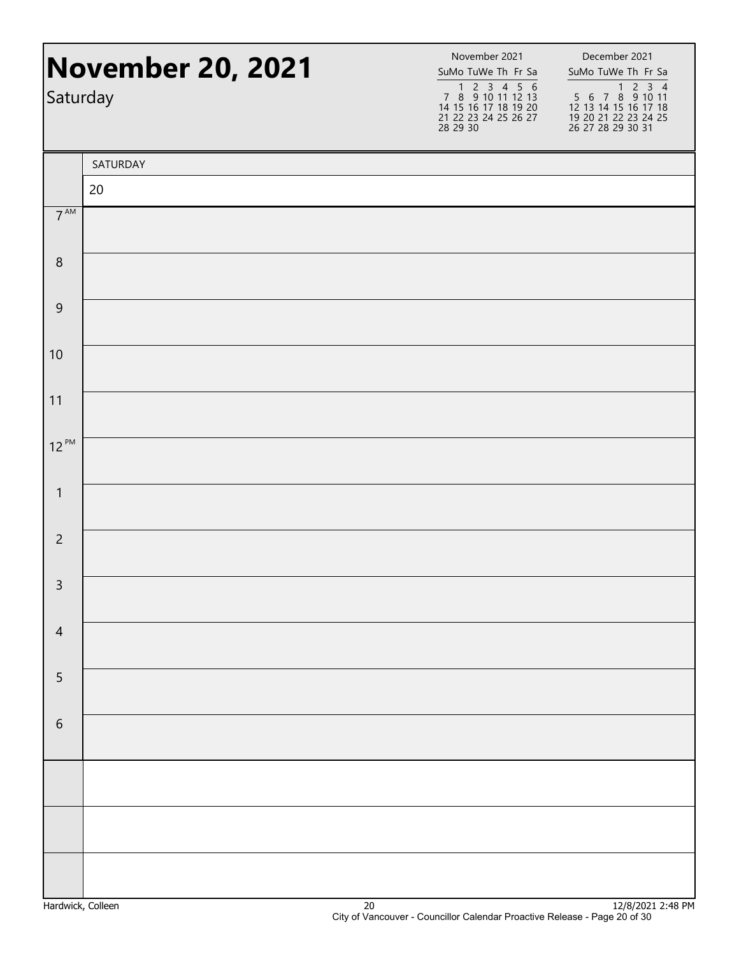| Saturday        | <b>November 20, 2021</b> | November 2021<br>SuMo TuWe Th Fr Sa<br>1 2 3 4 5 6<br>7 8 9 10 11 12 13<br>14 15 16 17 18 19 20<br>21 22 23 24 25 26 27<br>28 29 30 | December 2021<br>SuMo TuWe Th Fr Sa<br>1 2 3 4<br>5 6 7 8 9 10 11<br>12 13 14 15 16 17 18<br>19 20 21 22 23 24 25<br>26 27 28 29 30 31 |  |  |
|-----------------|--------------------------|-------------------------------------------------------------------------------------------------------------------------------------|----------------------------------------------------------------------------------------------------------------------------------------|--|--|
|                 | SATURDAY                 |                                                                                                                                     |                                                                                                                                        |  |  |
|                 | 20                       |                                                                                                                                     |                                                                                                                                        |  |  |
| 7 <sup>AM</sup> |                          |                                                                                                                                     |                                                                                                                                        |  |  |
| $\,8\,$         |                          |                                                                                                                                     |                                                                                                                                        |  |  |
| 9               |                          |                                                                                                                                     |                                                                                                                                        |  |  |
| 10              |                          |                                                                                                                                     |                                                                                                                                        |  |  |
| 11              |                          |                                                                                                                                     |                                                                                                                                        |  |  |
| $12^{PM}$       |                          |                                                                                                                                     |                                                                                                                                        |  |  |
| $\mathbf{1}$    |                          |                                                                                                                                     |                                                                                                                                        |  |  |
| $\overline{2}$  |                          |                                                                                                                                     |                                                                                                                                        |  |  |
| $\overline{3}$  |                          |                                                                                                                                     |                                                                                                                                        |  |  |
| $\overline{4}$  |                          |                                                                                                                                     |                                                                                                                                        |  |  |
| 5               |                          |                                                                                                                                     |                                                                                                                                        |  |  |
| 6               |                          |                                                                                                                                     |                                                                                                                                        |  |  |
|                 |                          |                                                                                                                                     |                                                                                                                                        |  |  |
|                 |                          |                                                                                                                                     |                                                                                                                                        |  |  |
|                 |                          |                                                                                                                                     |                                                                                                                                        |  |  |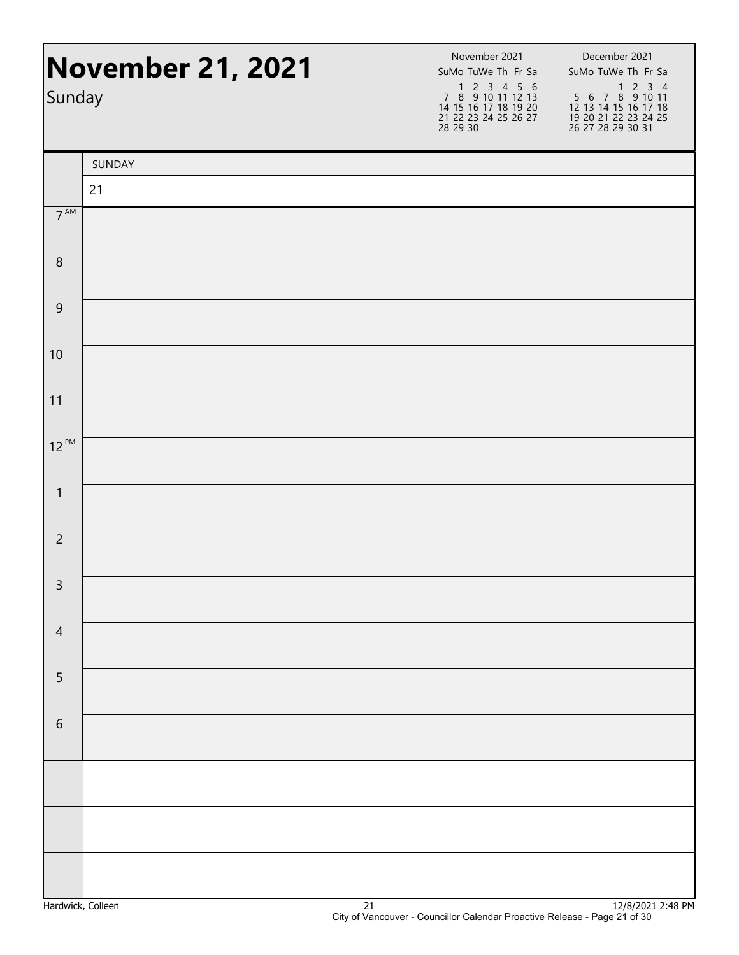| Sunday          | <b>November 21, 2021</b> | November 2021<br>SuMo TuWe Th Fr Sa<br>1 2 3 4 5 6<br>7 8 9 10 11 12 13<br>14 15 16 17 18 19 20<br>21 22 23 24 25 26 27<br>28 29 30 | December 2021<br>SuMo TuWe Th Fr Sa |
|-----------------|--------------------------|-------------------------------------------------------------------------------------------------------------------------------------|-------------------------------------|
|                 | SUNDAY                   |                                                                                                                                     |                                     |
|                 | 21                       |                                                                                                                                     |                                     |
| $7^{\text{AM}}$ |                          |                                                                                                                                     |                                     |
| $\,8\,$         |                          |                                                                                                                                     |                                     |
| $\overline{9}$  |                          |                                                                                                                                     |                                     |
| 10              |                          |                                                                                                                                     |                                     |
| 11              |                          |                                                                                                                                     |                                     |
| $12^{PM}$       |                          |                                                                                                                                     |                                     |
| $\mathbf{1}$    |                          |                                                                                                                                     |                                     |
| $\overline{2}$  |                          |                                                                                                                                     |                                     |
| $\overline{3}$  |                          |                                                                                                                                     |                                     |
| $\overline{4}$  |                          |                                                                                                                                     |                                     |
| 5               |                          |                                                                                                                                     |                                     |
| $\,$ 6 $\,$     |                          |                                                                                                                                     |                                     |
|                 |                          |                                                                                                                                     |                                     |
|                 |                          |                                                                                                                                     |                                     |
|                 |                          |                                                                                                                                     |                                     |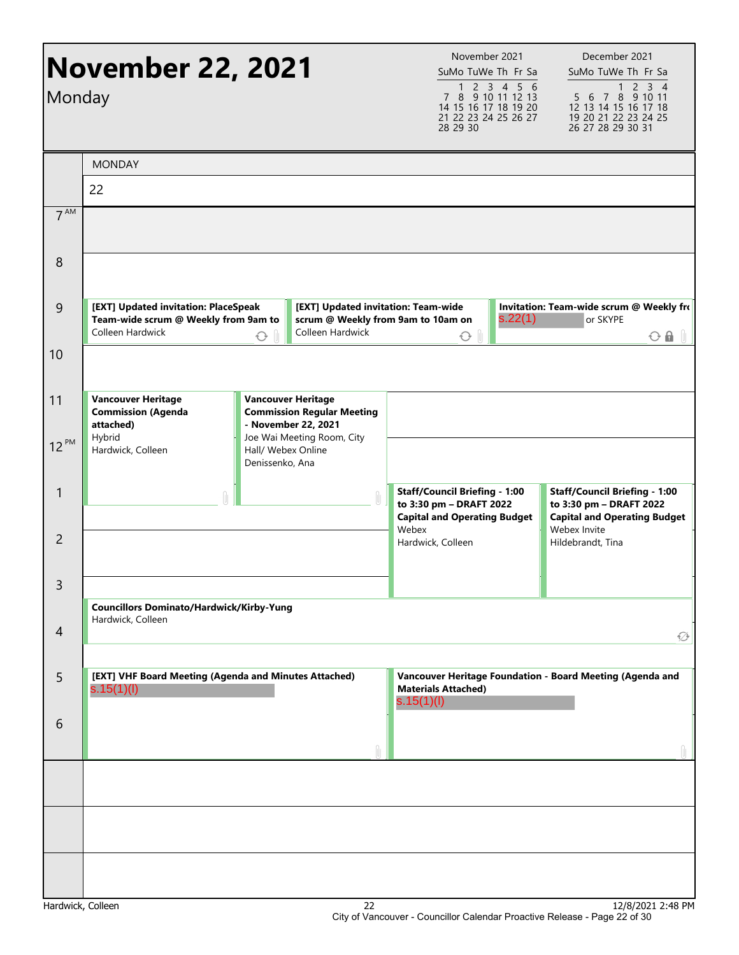| Monday<br>7 <sup>AM</sup> | <b>November 22, 2021</b><br><b>MONDAY</b><br>22                                                  |                 |                                                                                                                     | November 2021<br>SuMo TuWe Th Fr Sa<br>21 22 23 24 25 26 27<br>28 29 30                                | 1 2 3 4 5 6<br>7 8 9 10 11 12 13<br>14 15 16 17 18 19 20 | December 2021<br>SuMo TuWe Th Fr Sa<br>$\begin{array}{ccccccccc}\n & & & & & 1 & 2 & 3 & 4 \\ 5 & 6 & 7 & 8 & 9 & 10 & 11\n\end{array}$<br>12 13 14 15 16 17 18<br>19 20 21 22 23 24 25<br>26 27 28 29 30 31 |
|---------------------------|--------------------------------------------------------------------------------------------------|-----------------|---------------------------------------------------------------------------------------------------------------------|--------------------------------------------------------------------------------------------------------|----------------------------------------------------------|--------------------------------------------------------------------------------------------------------------------------------------------------------------------------------------------------------------|
|                           |                                                                                                  |                 |                                                                                                                     |                                                                                                        |                                                          |                                                                                                                                                                                                              |
| 8                         |                                                                                                  |                 |                                                                                                                     |                                                                                                        |                                                          |                                                                                                                                                                                                              |
| 9                         | [EXT] Updated invitation: PlaceSpeak<br>Team-wide scrum @ Weekly from 9am to<br>Colleen Hardwick | $\bigodot$      | [EXT] Updated invitation: Team-wide<br>Colleen Hardwick                                                             | scrum @ Weekly from 9am to 10am on<br>$\bigcirc$                                                       | s.22(1)                                                  | Invitation: Team-wide scrum @ Weekly fro<br>or SKYPE<br>$O$ $\theta$ $\theta$                                                                                                                                |
| 10                        |                                                                                                  |                 |                                                                                                                     |                                                                                                        |                                                          |                                                                                                                                                                                                              |
| 11                        | <b>Vancouver Heritage</b><br><b>Commission (Agenda</b><br>attached)<br>Hybrid                    |                 | <b>Vancouver Heritage</b><br><b>Commission Regular Meeting</b><br>- November 22, 2021<br>Joe Wai Meeting Room, City |                                                                                                        |                                                          |                                                                                                                                                                                                              |
| $12^{PM}$                 | Hardwick, Colleen                                                                                | Denissenko, Ana | Hall/ Webex Online                                                                                                  |                                                                                                        |                                                          |                                                                                                                                                                                                              |
| 1                         |                                                                                                  |                 |                                                                                                                     | <b>Staff/Council Briefing - 1:00</b><br>to 3:30 pm - DRAFT 2022<br><b>Capital and Operating Budget</b> |                                                          | <b>Staff/Council Briefing - 1:00</b><br>to 3:30 pm - DRAFT 2022<br><b>Capital and Operating Budget</b>                                                                                                       |
| 2                         |                                                                                                  |                 |                                                                                                                     | Webex<br>Hardwick, Colleen                                                                             |                                                          | Webex Invite<br>Hildebrandt, Tina                                                                                                                                                                            |
| 3                         |                                                                                                  |                 |                                                                                                                     |                                                                                                        |                                                          |                                                                                                                                                                                                              |
| 4                         | <b>Councillors Dominato/Hardwick/Kirby-Yung</b><br>Hardwick, Colleen                             |                 |                                                                                                                     |                                                                                                        |                                                          | ۞                                                                                                                                                                                                            |
| 5                         | [EXT] VHF Board Meeting (Agenda and Minutes Attached)<br>s.15(1)(l)                              |                 |                                                                                                                     | <b>Materials Attached)</b><br>s.15(1)(I)                                                               |                                                          | Vancouver Heritage Foundation - Board Meeting (Agenda and                                                                                                                                                    |
| 6                         |                                                                                                  |                 |                                                                                                                     |                                                                                                        |                                                          |                                                                                                                                                                                                              |
|                           |                                                                                                  |                 |                                                                                                                     |                                                                                                        |                                                          |                                                                                                                                                                                                              |
|                           |                                                                                                  |                 |                                                                                                                     |                                                                                                        |                                                          |                                                                                                                                                                                                              |
|                           |                                                                                                  |                 |                                                                                                                     |                                                                                                        |                                                          |                                                                                                                                                                                                              |
|                           | Hardwick, Colleen                                                                                |                 | 22                                                                                                                  |                                                                                                        |                                                          | 12/8/2021 2:48 PM                                                                                                                                                                                            |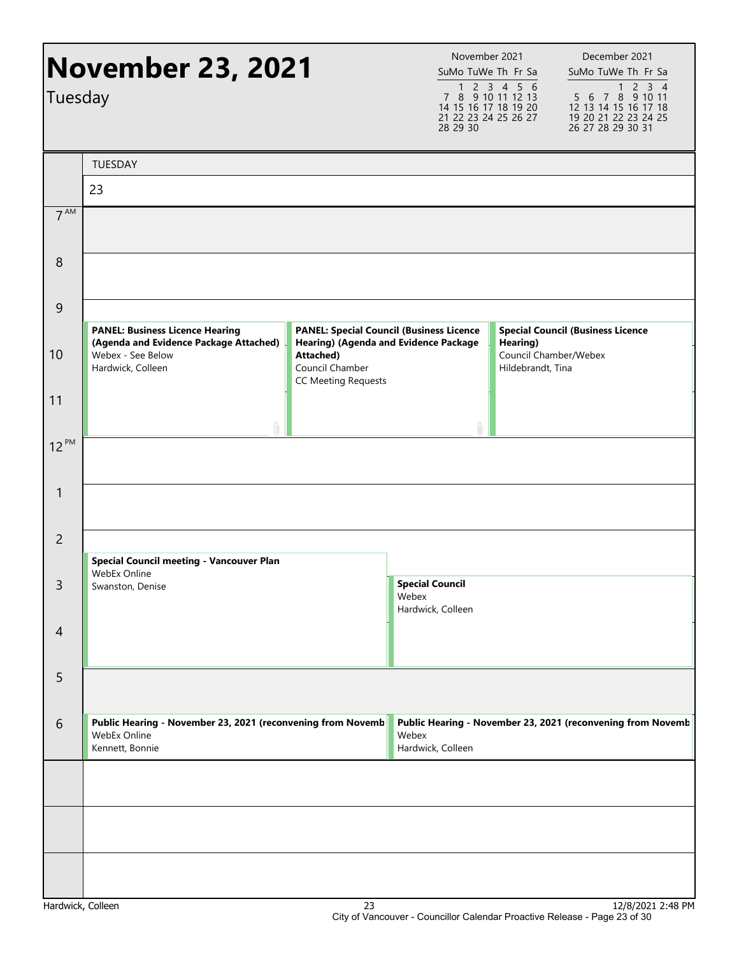| Tuesday         | <b>November 23, 2021</b>                                                                       |                                                                                                            | November 2021<br>SuMo TuWe Th Fr Sa<br>14 15 16 17 18 19 20<br>21 22 23 24 25 26 27<br>28 29 30 | 1 2 3 4 5 6<br>7 8 9 10 11 12 13 | December 2021<br>SuMo TuWe Th Fr Sa<br>$\begin{array}{@{}c@{\hspace{1em}}c@{\hspace{1em}}c@{\hspace{1em}}c@{\hspace{1em}}c@{\hspace{1em}}c@{\hspace{1em}}c@{\hspace{1em}}c@{\hspace{1em}}c@{\hspace{1em}}c@{\hspace{1em}}c@{\hspace{1em}}c@{\hspace{1em}}c@{\hspace{1em}}c@{\hspace{1em}}c@{\hspace{1em}}c@{\hspace{1em}}c@{\hspace{1em}}c@{\hspace{1em}}c@{\hspace{1em}}c@{\hspace{1em}}c@{\hspace{1em}}c@{\hspace{1em}}c@{\hspace{1em}}c@{\hspace{$<br>12 13 14 15 16 17 18<br>19 20 21 22 23 24 25<br>26 27 28 29 30 31 |
|-----------------|------------------------------------------------------------------------------------------------|------------------------------------------------------------------------------------------------------------|-------------------------------------------------------------------------------------------------|----------------------------------|----------------------------------------------------------------------------------------------------------------------------------------------------------------------------------------------------------------------------------------------------------------------------------------------------------------------------------------------------------------------------------------------------------------------------------------------------------------------------------------------------------------------------|
|                 | <b>TUESDAY</b>                                                                                 |                                                                                                            |                                                                                                 |                                  |                                                                                                                                                                                                                                                                                                                                                                                                                                                                                                                            |
|                 | 23                                                                                             |                                                                                                            |                                                                                                 |                                  |                                                                                                                                                                                                                                                                                                                                                                                                                                                                                                                            |
| 7 <sup>AM</sup> |                                                                                                |                                                                                                            |                                                                                                 |                                  |                                                                                                                                                                                                                                                                                                                                                                                                                                                                                                                            |
| 8               |                                                                                                |                                                                                                            |                                                                                                 |                                  |                                                                                                                                                                                                                                                                                                                                                                                                                                                                                                                            |
| 9               |                                                                                                |                                                                                                            |                                                                                                 |                                  |                                                                                                                                                                                                                                                                                                                                                                                                                                                                                                                            |
|                 | <b>PANEL: Business Licence Hearing</b>                                                         |                                                                                                            | <b>PANEL: Special Council (Business Licence</b>                                                 |                                  | <b>Special Council (Business Licence</b>                                                                                                                                                                                                                                                                                                                                                                                                                                                                                   |
| 10              | (Agenda and Evidence Package Attached)<br>Webex - See Below<br>Hardwick, Colleen               | <b>Hearing) (Agenda and Evidence Package</b><br>Attached)<br>Council Chamber<br><b>CC Meeting Requests</b> |                                                                                                 | Hearing)<br>Hildebrandt, Tina    | Council Chamber/Webex                                                                                                                                                                                                                                                                                                                                                                                                                                                                                                      |
| 11              |                                                                                                |                                                                                                            |                                                                                                 |                                  |                                                                                                                                                                                                                                                                                                                                                                                                                                                                                                                            |
| $12^{PM}$       |                                                                                                |                                                                                                            |                                                                                                 |                                  |                                                                                                                                                                                                                                                                                                                                                                                                                                                                                                                            |
| 1               |                                                                                                |                                                                                                            |                                                                                                 |                                  |                                                                                                                                                                                                                                                                                                                                                                                                                                                                                                                            |
| $\overline{c}$  |                                                                                                |                                                                                                            |                                                                                                 |                                  |                                                                                                                                                                                                                                                                                                                                                                                                                                                                                                                            |
|                 | <b>Special Council meeting - Vancouver Plan</b><br>WebEx Online                                |                                                                                                            |                                                                                                 |                                  |                                                                                                                                                                                                                                                                                                                                                                                                                                                                                                                            |
| 3               | Swanston, Denise                                                                               |                                                                                                            | <b>Special Council</b><br>Webex<br>Hardwick, Colleen                                            |                                  |                                                                                                                                                                                                                                                                                                                                                                                                                                                                                                                            |
| $\overline{4}$  |                                                                                                |                                                                                                            |                                                                                                 |                                  |                                                                                                                                                                                                                                                                                                                                                                                                                                                                                                                            |
| 5               |                                                                                                |                                                                                                            |                                                                                                 |                                  |                                                                                                                                                                                                                                                                                                                                                                                                                                                                                                                            |
| 6               | Public Hearing - November 23, 2021 (reconvening from Novemb<br>WebEx Online<br>Kennett, Bonnie |                                                                                                            | Webex<br>Hardwick, Colleen                                                                      |                                  | Public Hearing - November 23, 2021 (reconvening from Novemb                                                                                                                                                                                                                                                                                                                                                                                                                                                                |
|                 |                                                                                                |                                                                                                            |                                                                                                 |                                  |                                                                                                                                                                                                                                                                                                                                                                                                                                                                                                                            |
|                 |                                                                                                |                                                                                                            |                                                                                                 |                                  |                                                                                                                                                                                                                                                                                                                                                                                                                                                                                                                            |
|                 |                                                                                                |                                                                                                            |                                                                                                 |                                  |                                                                                                                                                                                                                                                                                                                                                                                                                                                                                                                            |
|                 | Hardwick, Colleen                                                                              | 23                                                                                                         | City of Vancouver - Councillor Calendar Proactive Release - Page 23 of 30                       |                                  | 12/8/2021 2:48 PM                                                                                                                                                                                                                                                                                                                                                                                                                                                                                                          |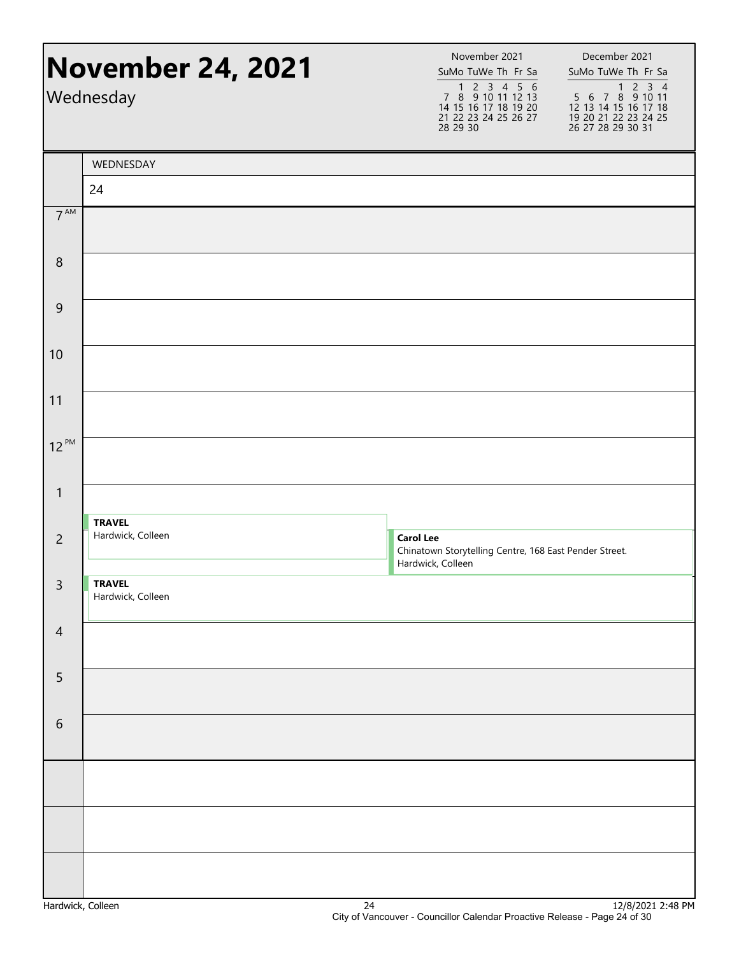| November 24, 2021<br>Wednesday |                                    | November 2021<br>SuMo TuWe Th Fr Sa<br>1 2 3 4 5 6<br>7 8 9 10 11 12 13<br>14 15 16 17 18 19 20<br>21 22 23 24 25 26 27<br>28 29 30 | December 2021<br>SuMo TuWe Th Fr Sa<br>5 6 7 8 9 10 11<br>12 13 14 15 16 17 18<br>19 20 21 22 23 24 25<br>26 27 28 29 30 31 |
|--------------------------------|------------------------------------|-------------------------------------------------------------------------------------------------------------------------------------|-----------------------------------------------------------------------------------------------------------------------------|
|                                | WEDNESDAY                          |                                                                                                                                     |                                                                                                                             |
|                                | 24                                 |                                                                                                                                     |                                                                                                                             |
| 7 <sup>AM</sup>                |                                    |                                                                                                                                     |                                                                                                                             |
| 8                              |                                    |                                                                                                                                     |                                                                                                                             |
| $\overline{9}$                 |                                    |                                                                                                                                     |                                                                                                                             |
| 10                             |                                    |                                                                                                                                     |                                                                                                                             |
| 11                             |                                    |                                                                                                                                     |                                                                                                                             |
| $12^{PM}$                      |                                    |                                                                                                                                     |                                                                                                                             |
| $\mathbf{1}$                   |                                    |                                                                                                                                     |                                                                                                                             |
| $\overline{2}$                 | <b>TRAVEL</b><br>Hardwick, Colleen | <b>Carol Lee</b><br>Chinatown Storytelling Centre, 168 East Pender Street.<br>Hardwick, Colleen                                     |                                                                                                                             |
| 3                              | <b>TRAVEL</b><br>Hardwick, Colleen |                                                                                                                                     |                                                                                                                             |
| $\overline{4}$                 |                                    |                                                                                                                                     |                                                                                                                             |
| 5                              |                                    |                                                                                                                                     |                                                                                                                             |
| $\sqrt{6}$                     |                                    |                                                                                                                                     |                                                                                                                             |
|                                |                                    |                                                                                                                                     |                                                                                                                             |
|                                |                                    |                                                                                                                                     |                                                                                                                             |
|                                |                                    |                                                                                                                                     |                                                                                                                             |
|                                |                                    |                                                                                                                                     | $\frac{10}{2}$                                                                                                              |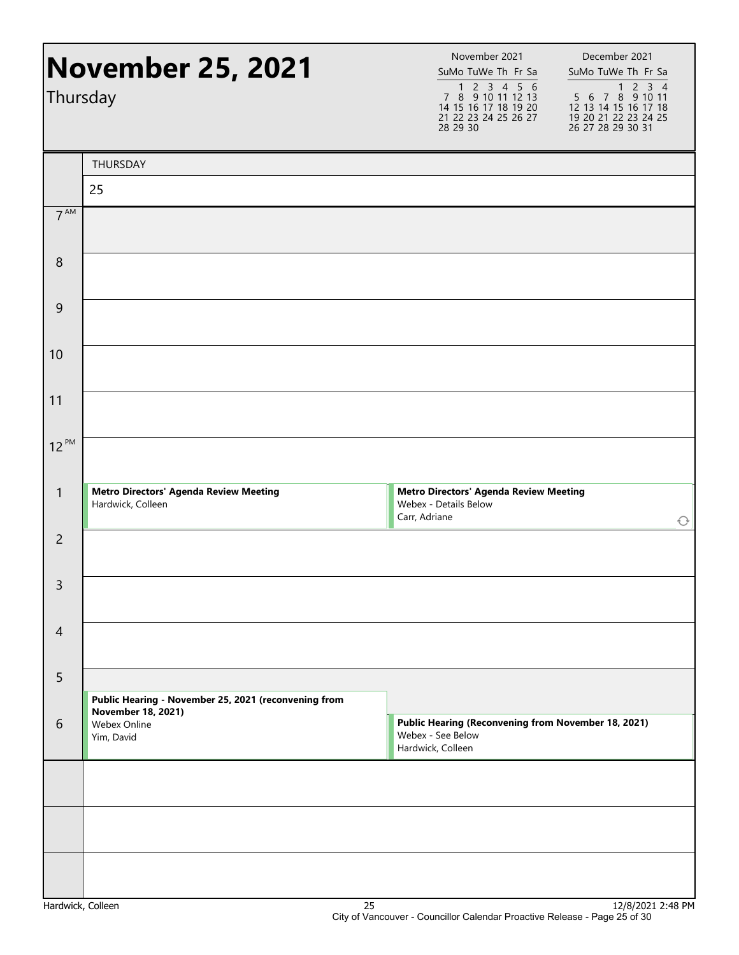| <b>November 25, 2021</b><br>Thursday |                                                                    | November 2021<br>SuMo TuWe Th Fr Sa<br>1 2 3 4 5 6<br>7 8 9 10 11 12 13<br>14 15 16 17 18 19 20<br>21 22 23 24 25 26 27<br>28 29 30 | December 2021<br>SuMo TuWe Th Fr Sa<br>$\begin{array}{@{}c@{\hspace{1em}}c@{\hspace{1em}}c@{\hspace{1em}}c@{\hspace{1em}}c@{\hspace{1em}}c@{\hspace{1em}}c@{\hspace{1em}}c@{\hspace{1em}}c@{\hspace{1em}}c@{\hspace{1em}}c@{\hspace{1em}}c@{\hspace{1em}}c@{\hspace{1em}}c@{\hspace{1em}}c@{\hspace{1em}}c@{\hspace{1em}}c@{\hspace{1em}}c@{\hspace{1em}}c@{\hspace{1em}}c@{\hspace{1em}}c@{\hspace{1em}}c@{\hspace{1em}}c@{\hspace{1em}}c@{\hspace{$<br>12 13 14 15 16 17 18<br>19 20 21 22 23 24 25<br>26 27 28 29 30 31 |  |
|--------------------------------------|--------------------------------------------------------------------|-------------------------------------------------------------------------------------------------------------------------------------|----------------------------------------------------------------------------------------------------------------------------------------------------------------------------------------------------------------------------------------------------------------------------------------------------------------------------------------------------------------------------------------------------------------------------------------------------------------------------------------------------------------------------|--|
|                                      | THURSDAY                                                           |                                                                                                                                     |                                                                                                                                                                                                                                                                                                                                                                                                                                                                                                                            |  |
|                                      | 25                                                                 |                                                                                                                                     |                                                                                                                                                                                                                                                                                                                                                                                                                                                                                                                            |  |
| $7^{\text{AM}}$                      |                                                                    |                                                                                                                                     |                                                                                                                                                                                                                                                                                                                                                                                                                                                                                                                            |  |
| 8                                    |                                                                    |                                                                                                                                     |                                                                                                                                                                                                                                                                                                                                                                                                                                                                                                                            |  |
| 9                                    |                                                                    |                                                                                                                                     |                                                                                                                                                                                                                                                                                                                                                                                                                                                                                                                            |  |
| 10                                   |                                                                    |                                                                                                                                     |                                                                                                                                                                                                                                                                                                                                                                                                                                                                                                                            |  |
| 11                                   |                                                                    |                                                                                                                                     |                                                                                                                                                                                                                                                                                                                                                                                                                                                                                                                            |  |
| $12^{PM}$                            |                                                                    |                                                                                                                                     |                                                                                                                                                                                                                                                                                                                                                                                                                                                                                                                            |  |
| $\mathbf{1}$                         | <b>Metro Directors' Agenda Review Meeting</b><br>Hardwick, Colleen | <b>Metro Directors' Agenda Review Meeting</b><br>Webex - Details Below<br>Carr, Adriane                                             | $\bigcirc$                                                                                                                                                                                                                                                                                                                                                                                                                                                                                                                 |  |
| $\overline{2}$                       |                                                                    |                                                                                                                                     |                                                                                                                                                                                                                                                                                                                                                                                                                                                                                                                            |  |
| 3                                    |                                                                    |                                                                                                                                     |                                                                                                                                                                                                                                                                                                                                                                                                                                                                                                                            |  |
| $\overline{4}$                       |                                                                    |                                                                                                                                     |                                                                                                                                                                                                                                                                                                                                                                                                                                                                                                                            |  |
| 5                                    | Public Hearing - November 25, 2021 (reconvening from               |                                                                                                                                     |                                                                                                                                                                                                                                                                                                                                                                                                                                                                                                                            |  |
| 6                                    | November 18, 2021)<br>Webex Online<br>Yim, David                   | Public Hearing (Reconvening from November 18, 2021)<br>Webex - See Below<br>Hardwick, Colleen                                       |                                                                                                                                                                                                                                                                                                                                                                                                                                                                                                                            |  |
|                                      |                                                                    |                                                                                                                                     |                                                                                                                                                                                                                                                                                                                                                                                                                                                                                                                            |  |
|                                      |                                                                    |                                                                                                                                     |                                                                                                                                                                                                                                                                                                                                                                                                                                                                                                                            |  |
|                                      | 2F                                                                 |                                                                                                                                     | 121012222222000                                                                                                                                                                                                                                                                                                                                                                                                                                                                                                            |  |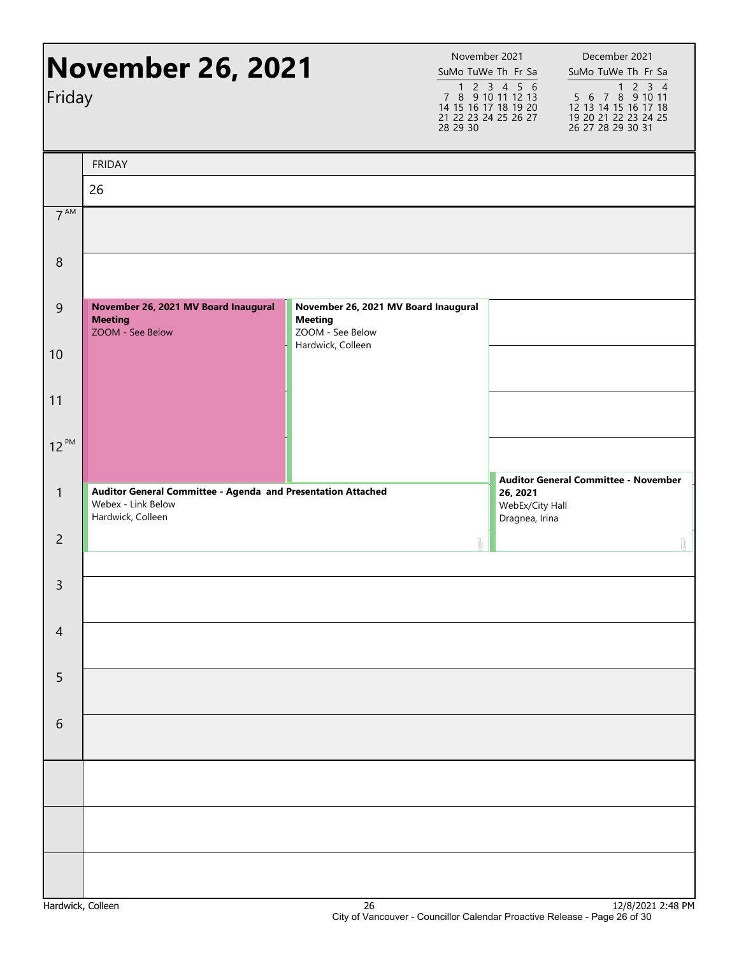| <b>November 26, 2021</b><br>Friday |                                                                                                         | November 2021<br>28 29 30                                                  | SuMo TuWe Th Fr Sa<br>1 2 3 4 5 6<br>7 8 9 10 11 12 13<br>14 15 16 17 18 19 20<br>21 22 23 24 25 26 27 | December 2021<br>SuMo TuWe Th Fr Sa<br>1 2 3 4<br>5 6 7 8 9 10 11<br>12 13 14 15 16 17 18<br>19 20 21 22 23 24 25<br>26 27 28 29 30 31 |                                             |
|------------------------------------|---------------------------------------------------------------------------------------------------------|----------------------------------------------------------------------------|--------------------------------------------------------------------------------------------------------|----------------------------------------------------------------------------------------------------------------------------------------|---------------------------------------------|
|                                    | <b>FRIDAY</b>                                                                                           |                                                                            |                                                                                                        |                                                                                                                                        |                                             |
| $7^{\text{AM}}$                    | 26                                                                                                      |                                                                            |                                                                                                        |                                                                                                                                        |                                             |
|                                    |                                                                                                         |                                                                            |                                                                                                        |                                                                                                                                        |                                             |
| 8                                  |                                                                                                         |                                                                            |                                                                                                        |                                                                                                                                        |                                             |
| 9                                  | November 26, 2021 MV Board Inaugural<br><b>Meeting</b><br>ZOOM - See Below                              | November 26, 2021 MV Board Inaugural<br><b>Meeting</b><br>ZOOM - See Below |                                                                                                        |                                                                                                                                        |                                             |
| 10                                 |                                                                                                         | Hardwick, Colleen                                                          |                                                                                                        |                                                                                                                                        |                                             |
| 11                                 |                                                                                                         |                                                                            |                                                                                                        |                                                                                                                                        |                                             |
| $12^{PM}$                          |                                                                                                         |                                                                            |                                                                                                        |                                                                                                                                        | <b>Auditor General Committee - November</b> |
| $\mathbf{1}$                       | Auditor General Committee - Agenda and Presentation Attached<br>Webex - Link Below<br>Hardwick, Colleen |                                                                            |                                                                                                        | 26, 2021<br>WebEx/City Hall<br>Dragnea, Irina                                                                                          |                                             |
| $\overline{c}$                     |                                                                                                         |                                                                            |                                                                                                        |                                                                                                                                        | Û                                           |
| $\mathsf{3}$                       |                                                                                                         |                                                                            |                                                                                                        |                                                                                                                                        |                                             |
| $\overline{4}$                     |                                                                                                         |                                                                            |                                                                                                        |                                                                                                                                        |                                             |
| 5                                  |                                                                                                         |                                                                            |                                                                                                        |                                                                                                                                        |                                             |
| 6                                  |                                                                                                         |                                                                            |                                                                                                        |                                                                                                                                        |                                             |
|                                    |                                                                                                         |                                                                            |                                                                                                        |                                                                                                                                        |                                             |
|                                    |                                                                                                         |                                                                            |                                                                                                        |                                                                                                                                        |                                             |
|                                    |                                                                                                         |                                                                            |                                                                                                        |                                                                                                                                        |                                             |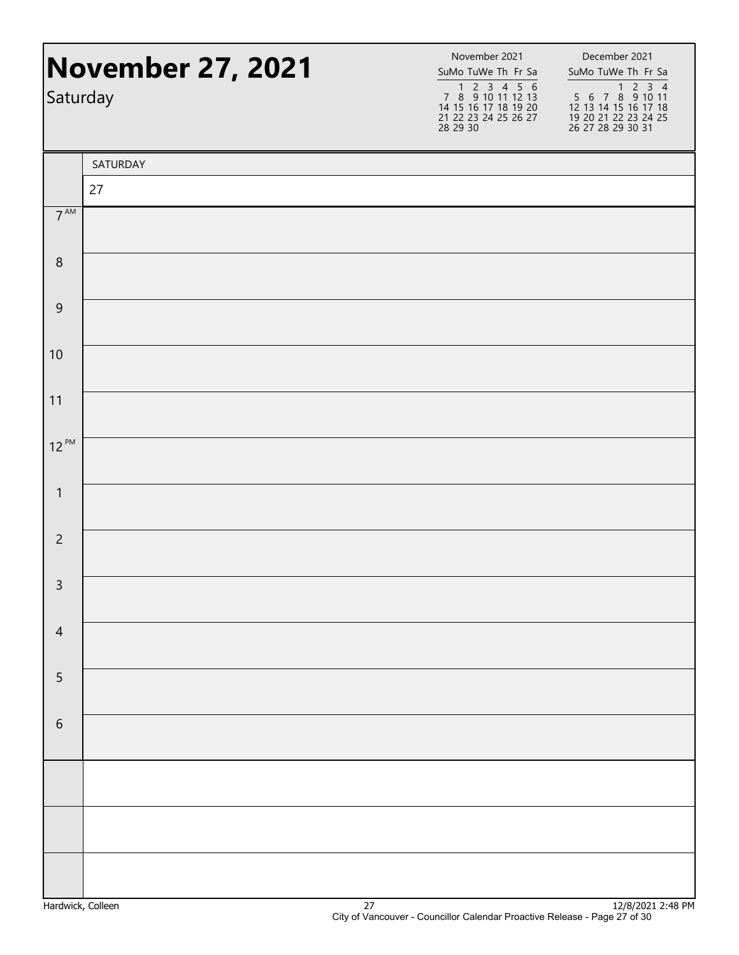| <b>November 27, 2021</b><br>Saturday |          | November 2021<br>SuMo TuWe Th Fr Sa<br>1 2 3 4 5 6<br>7 8 9 10 11 12 13<br>14 15 16 17 18 19 20<br>21 22 23 24 25 26 27<br>28 29 30 | December 2021<br>SuMo TuWe Th Fr Sa<br>1 2 3 4<br>5 6 7 8 9 10 11<br>12 13 14 15 16 17 18<br>19 20 21 22 23 24 25<br>26 27 28 29 30 31 |
|--------------------------------------|----------|-------------------------------------------------------------------------------------------------------------------------------------|----------------------------------------------------------------------------------------------------------------------------------------|
|                                      | SATURDAY |                                                                                                                                     |                                                                                                                                        |
|                                      | 27       |                                                                                                                                     |                                                                                                                                        |
| 7 <sup>AM</sup>                      |          |                                                                                                                                     |                                                                                                                                        |
| $\,8\,$                              |          |                                                                                                                                     |                                                                                                                                        |
| 9                                    |          |                                                                                                                                     |                                                                                                                                        |
| 10                                   |          |                                                                                                                                     |                                                                                                                                        |
| 11                                   |          |                                                                                                                                     |                                                                                                                                        |
| $12^{PM}$                            |          |                                                                                                                                     |                                                                                                                                        |
| $\mathbf{1}$                         |          |                                                                                                                                     |                                                                                                                                        |
| $\overline{2}$                       |          |                                                                                                                                     |                                                                                                                                        |
| $\overline{3}$                       |          |                                                                                                                                     |                                                                                                                                        |
| $\overline{4}$                       |          |                                                                                                                                     |                                                                                                                                        |
| 5                                    |          |                                                                                                                                     |                                                                                                                                        |
| 6                                    |          |                                                                                                                                     |                                                                                                                                        |
|                                      |          |                                                                                                                                     |                                                                                                                                        |
|                                      |          |                                                                                                                                     |                                                                                                                                        |
|                                      |          |                                                                                                                                     |                                                                                                                                        |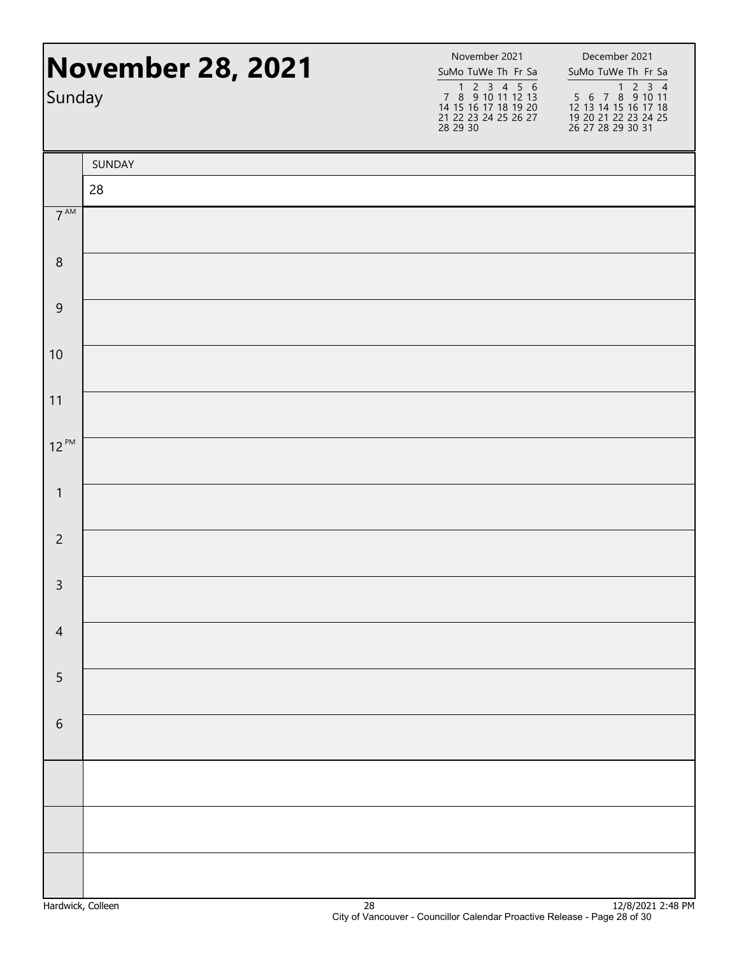| November 28, 2021<br>Sunday |        | November 2021<br>SuMo TuWe Th Fr Sa<br>1 2 3 4 5 6<br>7 8 9 10 11 12 13<br>14 15 16 17 18 19 20<br>21 22 23 24 25 26 27<br>28 29 30 | December 2021<br>SuMo TuWe Th Fr Sa |
|-----------------------------|--------|-------------------------------------------------------------------------------------------------------------------------------------|-------------------------------------|
|                             | SUNDAY |                                                                                                                                     |                                     |
|                             | 28     |                                                                                                                                     |                                     |
| $7^{\text{AM}}$             |        |                                                                                                                                     |                                     |
| $\, 8$                      |        |                                                                                                                                     |                                     |
| $\overline{9}$              |        |                                                                                                                                     |                                     |
| 10                          |        |                                                                                                                                     |                                     |
| 11                          |        |                                                                                                                                     |                                     |
| $12^{PM}$                   |        |                                                                                                                                     |                                     |
| $\mathbf{1}$                |        |                                                                                                                                     |                                     |
| $\overline{2}$              |        |                                                                                                                                     |                                     |
| $\overline{3}$              |        |                                                                                                                                     |                                     |
| $\overline{4}$              |        |                                                                                                                                     |                                     |
| 5                           |        |                                                                                                                                     |                                     |
| $\,$ 6 $\,$                 |        |                                                                                                                                     |                                     |
|                             |        |                                                                                                                                     |                                     |
|                             |        |                                                                                                                                     |                                     |
|                             |        |                                                                                                                                     |                                     |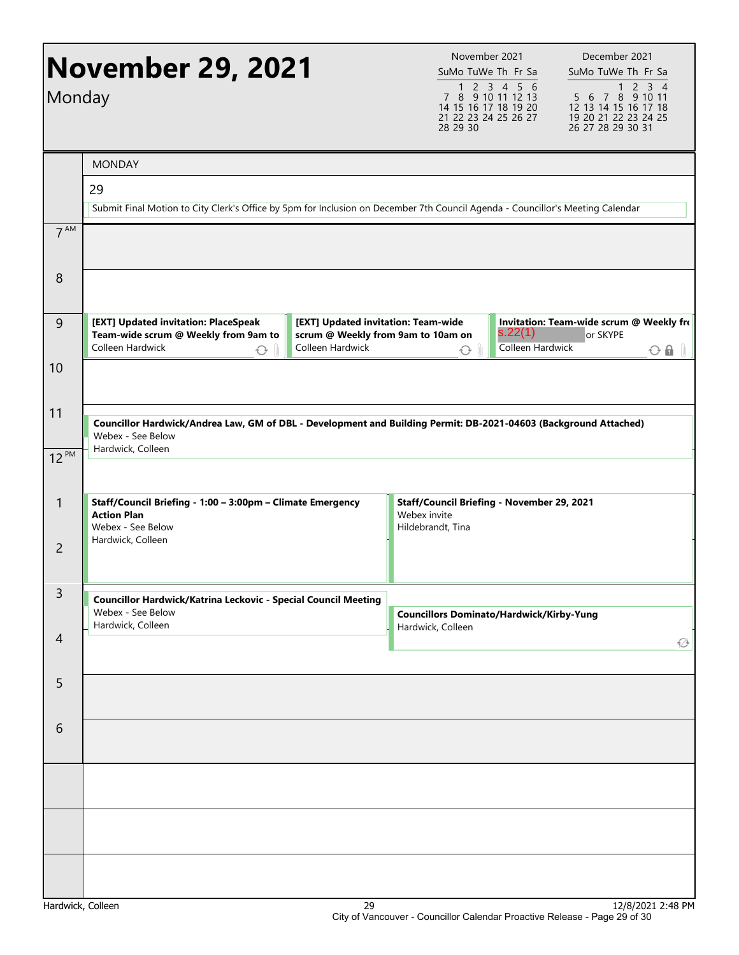| Monday          | <b>November 29, 2021</b>                                                                                                              |                                                                                               | November 2021<br>SuMo TuWe Th Fr Sa<br>14 15 16 17 18 19 20<br>21 22 23 24 25 26 27<br>28 29 30 | 1 2 3 4 5 6<br>7 8 9 10 11 12 13 | December 2021<br>SuMo TuWe Th Fr Sa<br>$1 2 3 4$<br>5 6 7 8 9 10 11<br>12 13 14 15 16 17 18<br>19 20 21 22 23 24 25<br>26 27 28 29 30 31 |
|-----------------|---------------------------------------------------------------------------------------------------------------------------------------|-----------------------------------------------------------------------------------------------|-------------------------------------------------------------------------------------------------|----------------------------------|------------------------------------------------------------------------------------------------------------------------------------------|
|                 | <b>MONDAY</b>                                                                                                                         |                                                                                               |                                                                                                 |                                  |                                                                                                                                          |
|                 | 29                                                                                                                                    |                                                                                               |                                                                                                 |                                  |                                                                                                                                          |
|                 | Submit Final Motion to City Clerk's Office by 5pm for Inclusion on December 7th Council Agenda - Councillor's Meeting Calendar        |                                                                                               |                                                                                                 |                                  |                                                                                                                                          |
| 7 <sup>AM</sup> |                                                                                                                                       |                                                                                               |                                                                                                 |                                  |                                                                                                                                          |
| 8               |                                                                                                                                       |                                                                                               |                                                                                                 |                                  |                                                                                                                                          |
| 9               | [EXT] Updated invitation: PlaceSpeak<br>Team-wide scrum @ Weekly from 9am to<br>Colleen Hardwick                                      | [EXT] Updated invitation: Team-wide<br>scrum @ Weekly from 9am to 10am on<br>Colleen Hardwick |                                                                                                 | s.22(1)<br>Colleen Hardwick      | Invitation: Team-wide scrum @ Weekly fro<br>or SKYPE                                                                                     |
| 10              | $\bigodot$                                                                                                                            |                                                                                               | ↔                                                                                               |                                  | $O$ $\theta$                                                                                                                             |
| 11              | Councillor Hardwick/Andrea Law, GM of DBL - Development and Building Permit: DB-2021-04603 (Background Attached)<br>Webex - See Below |                                                                                               |                                                                                                 |                                  |                                                                                                                                          |
| $12^{PM}$       | Hardwick, Colleen                                                                                                                     |                                                                                               |                                                                                                 |                                  |                                                                                                                                          |
| 1               | Staff/Council Briefing - 1:00 - 3:00pm - Climate Emergency<br><b>Action Plan</b><br>Webex - See Below                                 |                                                                                               | Staff/Council Briefing - November 29, 2021<br>Webex invite<br>Hildebrandt, Tina                 |                                  |                                                                                                                                          |
| $\overline{2}$  | Hardwick, Colleen                                                                                                                     |                                                                                               |                                                                                                 |                                  |                                                                                                                                          |
| 3               | Councillor Hardwick/Katrina Leckovic - Special Council Meeting<br>Webex - See Below                                                   |                                                                                               | <b>Councillors Dominato/Hardwick/Kirby-Yung</b>                                                 |                                  |                                                                                                                                          |
| $\overline{4}$  | Hardwick, Colleen                                                                                                                     |                                                                                               | Hardwick, Colleen                                                                               |                                  | ♦                                                                                                                                        |
| 5               |                                                                                                                                       |                                                                                               |                                                                                                 |                                  |                                                                                                                                          |
| 6               |                                                                                                                                       |                                                                                               |                                                                                                 |                                  |                                                                                                                                          |
|                 |                                                                                                                                       |                                                                                               |                                                                                                 |                                  |                                                                                                                                          |
|                 |                                                                                                                                       |                                                                                               |                                                                                                 |                                  |                                                                                                                                          |
|                 |                                                                                                                                       |                                                                                               |                                                                                                 |                                  |                                                                                                                                          |
|                 |                                                                                                                                       |                                                                                               |                                                                                                 |                                  |                                                                                                                                          |